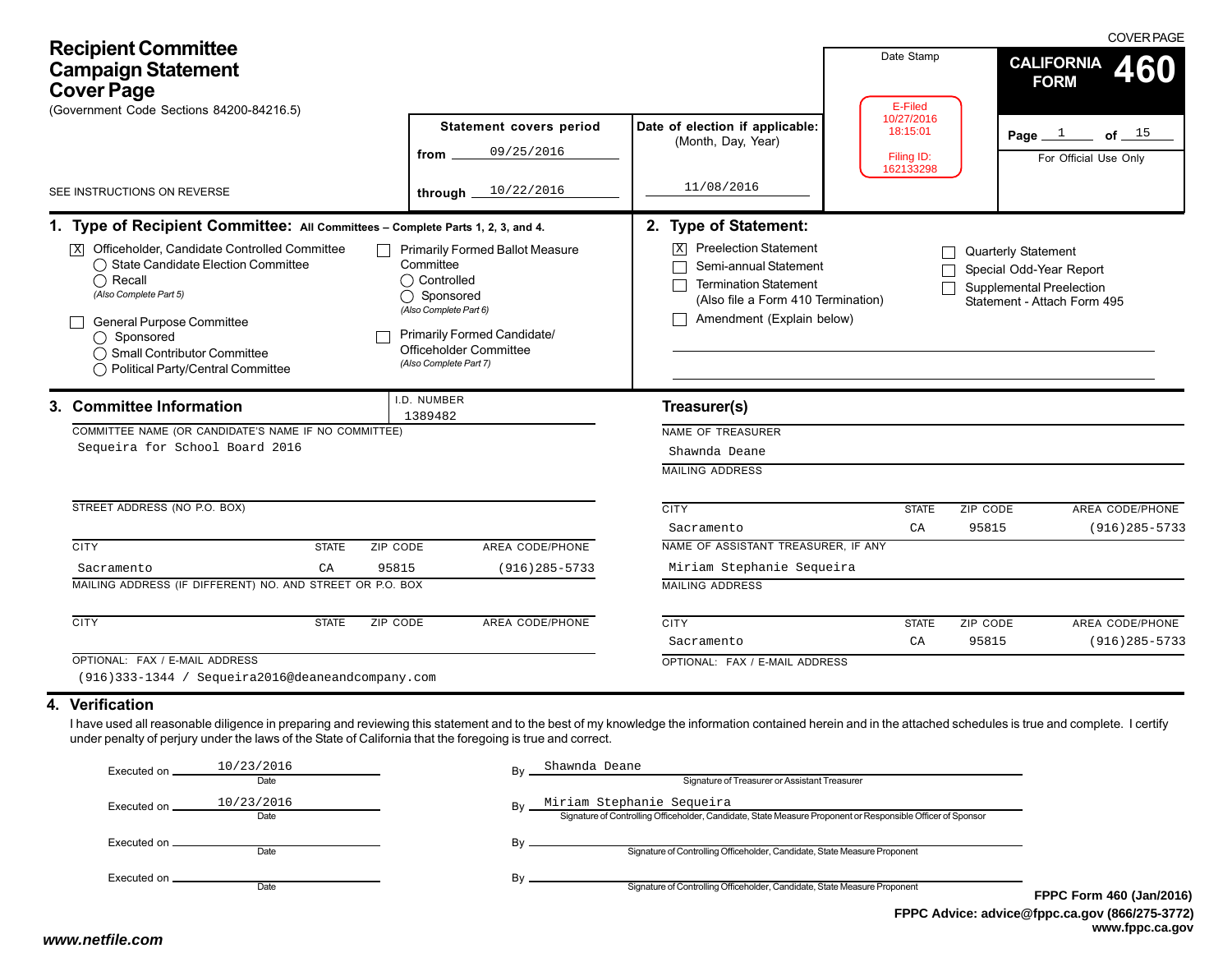| <b>Recipient Committee</b><br><b>Campaign Statement</b><br><b>Cover Page</b><br>(Government Code Sections 84200-84216.5)                                                                                                                                                                                                                                                                                                             | Statement covers period<br>09/25/2016<br>from                                                                                                                                                   | Date of election if applicable:<br>(Month, Day, Year)                                                                                                                                     | Date Stamp<br>E-Filed<br>10/27/2016<br>18:15:01<br>Filing ID: |                                                                                                                         | <b>COVER PAGE</b><br><b>CALIFORNIA</b><br>460<br><b>FORM</b><br>Page $1$ of $15$<br>For Official Use Only |
|--------------------------------------------------------------------------------------------------------------------------------------------------------------------------------------------------------------------------------------------------------------------------------------------------------------------------------------------------------------------------------------------------------------------------------------|-------------------------------------------------------------------------------------------------------------------------------------------------------------------------------------------------|-------------------------------------------------------------------------------------------------------------------------------------------------------------------------------------------|---------------------------------------------------------------|-------------------------------------------------------------------------------------------------------------------------|-----------------------------------------------------------------------------------------------------------|
| SEE INSTRUCTIONS ON REVERSE                                                                                                                                                                                                                                                                                                                                                                                                          | through $10/22/2016$                                                                                                                                                                            | 11/08/2016                                                                                                                                                                                | 162133298                                                     |                                                                                                                         |                                                                                                           |
| 1. Type of Recipient Committee: All Committees - Complete Parts 1, 2, 3, and 4.<br>Officeholder, Candidate Controlled Committee<br> X <br>◯ State Candidate Election Committee<br>$\bigcap$ Recall<br>(Also Complete Part 5)<br>General Purpose Committee<br>◯ Sponsored<br>◯ Small Contributor Committee<br>◯ Political Party/Central Committee                                                                                     | <b>Primarily Formed Ballot Measure</b><br>Committee<br>◯ Controlled<br>◯ Sponsored<br>(Also Complete Part 6)<br>Primarily Formed Candidate/<br>Officeholder Committee<br>(Also Complete Part 7) | 2. Type of Statement:<br><b>X</b> Preelection Statement<br>Semi-annual Statement<br><b>Termination Statement</b><br>(Also file a Form 410 Termination)<br>Amendment (Explain below)       |                                                               | <b>Quarterly Statement</b><br>Special Odd-Year Report<br><b>Supplemental Preelection</b><br>Statement - Attach Form 495 |                                                                                                           |
| 3. Committee Information<br>COMMITTEE NAME (OR CANDIDATE'S NAME IF NO COMMITTEE)<br>Sequeira for School Board 2016<br>STREET ADDRESS (NO P.O. BOX)                                                                                                                                                                                                                                                                                   | I.D. NUMBER<br>1389482                                                                                                                                                                          | Treasurer(s)<br>NAME OF TREASURER<br>Shawnda Deane<br><b>MAILING ADDRESS</b><br><b>CITY</b>                                                                                               | <b>STATE</b>                                                  | ZIP CODE                                                                                                                | AREA CODE/PHONE                                                                                           |
| <b>CITY</b><br><b>STATE</b><br>ZIP CODE<br>95815<br>CA<br>Sacramento<br>MAILING ADDRESS (IF DIFFERENT) NO. AND STREET OR P.O. BOX<br><b>CITY</b><br><b>STATE</b><br><b>ZIP CODE</b>                                                                                                                                                                                                                                                  | AREA CODE/PHONE<br>$(916)$ 285-5733<br><b>AREA CODE/PHONE</b>                                                                                                                                   | Sacramento<br>NAME OF ASSISTANT TREASURER, IF ANY<br>Miriam Stephanie Sequeira<br><b>MAILING ADDRESS</b><br><b>CITY</b><br>Sacramento                                                     | CA<br><b>STATE</b><br>CA                                      | 95815<br>ZIP CODE<br>95815                                                                                              | $(916)$ 285-5733<br>AREA CODE/PHONE<br>$(916)$ 285-5733                                                   |
| OPTIONAL: FAX / E-MAIL ADDRESS<br>(916)333-1344 / Sequeira2016@deaneandcompany.com<br>4. Verification<br>I have used all reasonable diligence in preparing and reviewing this statement and to the best of my knowledge the information contained herein and in the attached schedules is true and complete. I certify<br>under penalty of perjury under the laws of the State of California that the foregoing is true and correct. |                                                                                                                                                                                                 | OPTIONAL: FAX / E-MAIL ADDRESS                                                                                                                                                            |                                                               |                                                                                                                         |                                                                                                           |
| Executed on $\frac{10/23/2016}{\text{Date}}$<br>Executed on 10/23/2016<br>Date                                                                                                                                                                                                                                                                                                                                                       | Shawnda Deane                                                                                                                                                                                   | Signature of Treasurer or Assistant Treasurer<br>Miriam Stephanie Sequeira<br>Signature of Controlling Officeholder, Candidate, State Measure Proponent or Responsible Officer of Sponsor |                                                               |                                                                                                                         |                                                                                                           |

By  $\overline{\phantom{0}}$  Signature of Controlling Officeholder, Candidate, State Measure Proponent

By **Signature of Controlling Officeholder**, Candidate, State Measure Proponent

Executed on Date

Date

Executed on  $\_\_$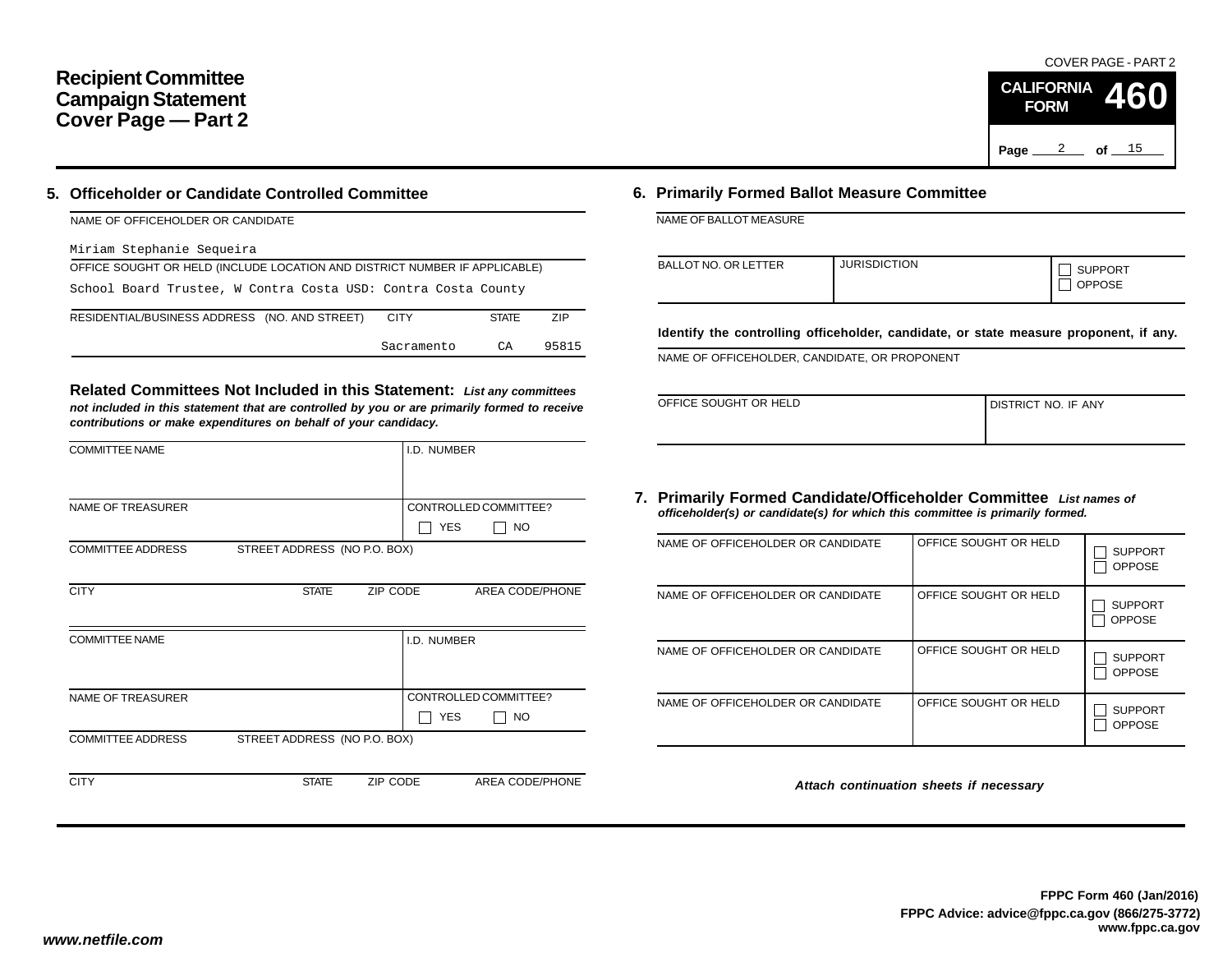# **Recipient Committee Campaign Statement Cover Page — Part 2**

# **5. Officeholder or Candidate Controlled Committee**

| NAME OF OFFICEHOLDER OR CANDIDATE                                          |              |       |
|----------------------------------------------------------------------------|--------------|-------|
| Miriam Stephanie Sequeira                                                  |              |       |
| OFFICE SOUGHT OR HELD (INCLUDE LOCATION AND DISTRICT NUMBER IF APPLICABLE) |              |       |
| School Board Trustee, W Contra Costa USD: Contra Costa County              |              |       |
| RESIDENTIAL/BUSINESS ADDRESS (NO. AND STREET)<br><b>CITY</b>               | <b>STATE</b> | ZIP   |
| Sacramento                                                                 | СA           | 95815 |

**Related Committees Not Included in this Statement:** *List any committees not included in this statement that are controlled by you or are primarily formed to receive contributions or make expenditures on behalf of your candidacy.*

|              | I.D. NUMBER |                                                                                      |
|--------------|-------------|--------------------------------------------------------------------------------------|
|              |             |                                                                                      |
|              |             | CONTROLLED COMMITTEE?                                                                |
|              | <b>YES</b>  | NO.                                                                                  |
|              |             |                                                                                      |
|              |             |                                                                                      |
| <b>STATE</b> |             | AREA CODE/PHONE                                                                      |
|              |             |                                                                                      |
|              | I.D. NUMBER |                                                                                      |
|              |             |                                                                                      |
|              |             |                                                                                      |
|              |             | CONTROLLED COMMITTEE?                                                                |
|              | <b>YES</b>  | NO.                                                                                  |
|              |             |                                                                                      |
|              |             |                                                                                      |
| <b>STATE</b> |             | AREA CODE/PHONE                                                                      |
|              |             | STREET ADDRESS (NO P.O. BOX)<br>ZIP CODE<br>STREET ADDRESS (NO P.O. BOX)<br>ZIP CODE |

# **6. Primarily Formed Ballot Measure Committee**

NAME OF BALLOT MEASURE

| <b>BALLOT NO. OR LETTER</b> | <b>JURISDICTION</b> | <b>SUPPORT</b><br><b>OPPOSE</b> |
|-----------------------------|---------------------|---------------------------------|
|-----------------------------|---------------------|---------------------------------|

**Identify the controlling officeholder, candidate, or state measure proponent, if any.**

NAME OF OFFICEHOLDER, CANDIDATE, OR PROPONENT

| OFFICE SOUGHT OR HELD | I DISTRICT NO. IF ANY |
|-----------------------|-----------------------|
|                       |                       |

### **7. Primarily Formed Candidate/Officeholder Committee** *List names of officeholder(s) or candidate(s) for which this committee is primarily formed.*

| NAME OF OFFICEHOLDER OR CANDIDATE | OFFICE SOUGHT OR HELD | <b>SUPPORT</b><br><b>OPPOSE</b> |
|-----------------------------------|-----------------------|---------------------------------|
| NAME OF OFFICEHOLDER OR CANDIDATE | OFFICE SOUGHT OR HELD | <b>SUPPORT</b><br><b>OPPOSE</b> |
| NAME OF OFFICEHOLDER OR CANDIDATE | OFFICE SOUGHT OR HELD | <b>SUPPORT</b><br><b>OPPOSE</b> |
| NAME OF OFFICEHOLDER OR CANDIDATE | OFFICE SOUGHT OR HELD | <b>SUPPORT</b><br><b>OPPOSE</b> |

*Attach continuation sheets if necessary*

COVER PAGE - PART 2

**460**

Page <u>2</u> of <u>15</u>

**CALIFORNIA FORM**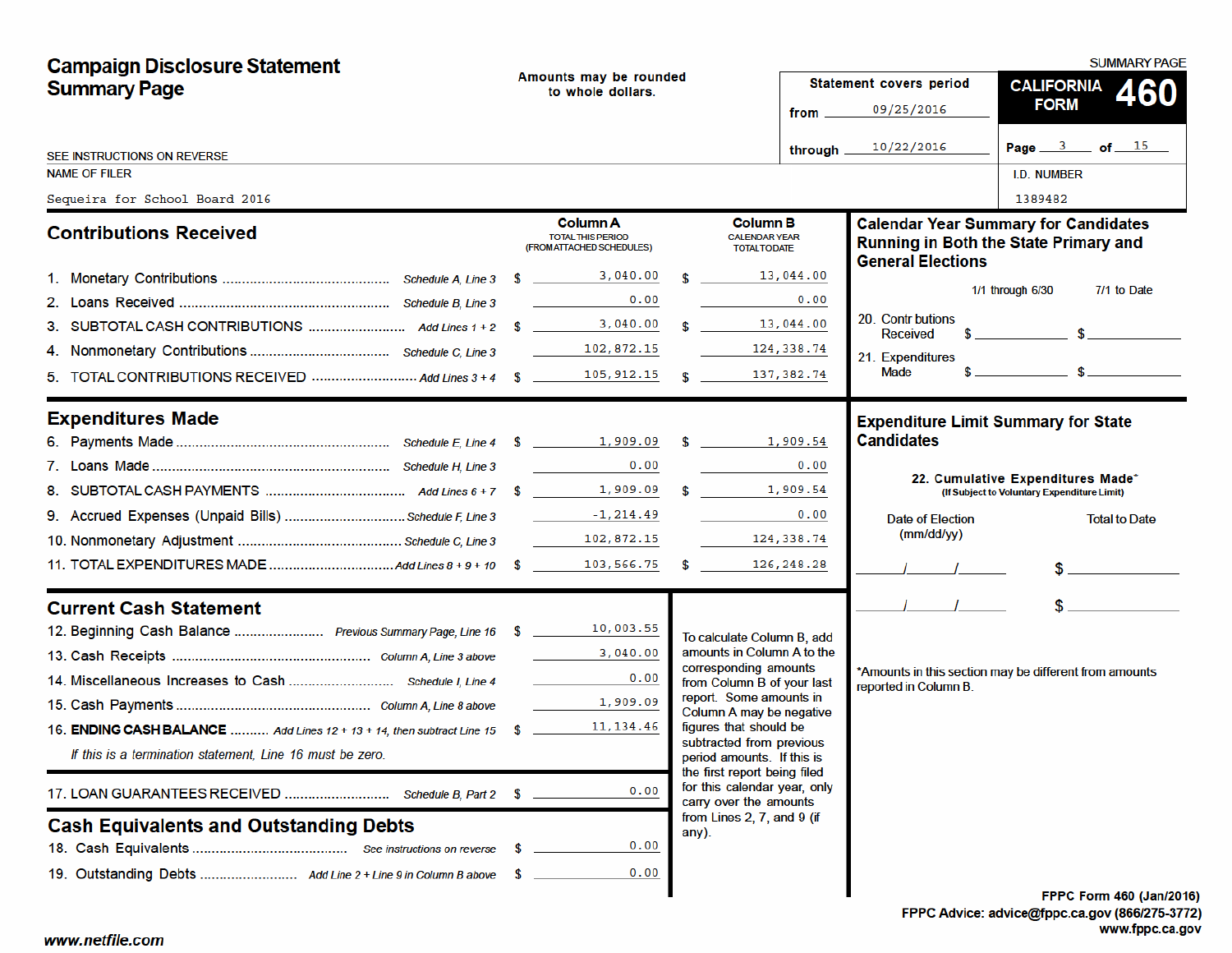| <b>Campaign Disclosure Statement</b>                                      |                                             |                                                                          |  |                                                                                        |                         |                                                                                                                                                                                                                                                                                                                     | <b>SUMMARY PAGE</b>                                                                                                                                                                                                                                                                                                 |
|---------------------------------------------------------------------------|---------------------------------------------|--------------------------------------------------------------------------|--|----------------------------------------------------------------------------------------|-------------------------|---------------------------------------------------------------------------------------------------------------------------------------------------------------------------------------------------------------------------------------------------------------------------------------------------------------------|---------------------------------------------------------------------------------------------------------------------------------------------------------------------------------------------------------------------------------------------------------------------------------------------------------------------|
| <b>Summary Page</b>                                                       | Amounts may be rounded<br>to whole dollars. |                                                                          |  |                                                                                        | Statement covers period | CALIFORNIA 460                                                                                                                                                                                                                                                                                                      |                                                                                                                                                                                                                                                                                                                     |
|                                                                           |                                             |                                                                          |  |                                                                                        | from $\_\_$             | 09/25/2016                                                                                                                                                                                                                                                                                                          | <b>FORM</b>                                                                                                                                                                                                                                                                                                         |
| SEE INSTRUCTIONS ON REVERSE                                               |                                             |                                                                          |  |                                                                                        | through $\equiv$        | 10/22/2016                                                                                                                                                                                                                                                                                                          | Page $3$ of $15$                                                                                                                                                                                                                                                                                                    |
| <b>NAME OF FILER</b>                                                      |                                             |                                                                          |  |                                                                                        |                         |                                                                                                                                                                                                                                                                                                                     | <b>I.D. NUMBER</b>                                                                                                                                                                                                                                                                                                  |
| Sequeira for School Board 2016                                            |                                             |                                                                          |  |                                                                                        |                         |                                                                                                                                                                                                                                                                                                                     | 1389482                                                                                                                                                                                                                                                                                                             |
| <b>Contributions Received</b>                                             |                                             | <b>Column A</b><br><b>TOTAL THIS PERIOD</b><br>(FROM ATTACHED SCHEDULES) |  | <b>Column B</b><br><b>CALENDAR YEAR</b><br><b>TOTAL TO DATE</b>                        |                         | <b>General Elections</b>                                                                                                                                                                                                                                                                                            | <b>Calendar Year Summary for Candidates</b><br><b>Running in Both the State Primary and</b>                                                                                                                                                                                                                         |
|                                                                           |                                             |                                                                          |  | $\frac{13,044.00}{\sqrt{13}}$                                                          |                         |                                                                                                                                                                                                                                                                                                                     |                                                                                                                                                                                                                                                                                                                     |
|                                                                           |                                             | 0.00<br><u> Communication</u>                                            |  |                                                                                        | 0.00                    |                                                                                                                                                                                                                                                                                                                     | 7/1 to Date<br>1/1 through 6/30                                                                                                                                                                                                                                                                                     |
|                                                                           |                                             |                                                                          |  | \$13,044.00                                                                            |                         | 20. Contr butions<br>Received                                                                                                                                                                                                                                                                                       | $\frac{1}{2}$ $\frac{1}{2}$ $\frac{1}{2}$ $\frac{1}{2}$ $\frac{1}{2}$ $\frac{1}{2}$ $\frac{1}{2}$ $\frac{1}{2}$ $\frac{1}{2}$ $\frac{1}{2}$ $\frac{1}{2}$ $\frac{1}{2}$ $\frac{1}{2}$ $\frac{1}{2}$ $\frac{1}{2}$ $\frac{1}{2}$ $\frac{1}{2}$ $\frac{1}{2}$ $\frac{1}{2}$ $\frac{1}{2}$ $\frac{1}{2}$ $\frac{1}{2}$ |
|                                                                           |                                             |                                                                          |  | 124, 338.74                                                                            |                         | 21. Expenditures                                                                                                                                                                                                                                                                                                    |                                                                                                                                                                                                                                                                                                                     |
|                                                                           |                                             |                                                                          |  |                                                                                        |                         | Made                                                                                                                                                                                                                                                                                                                | $\frac{1}{2}$ $\frac{1}{2}$ $\frac{1}{2}$ $\frac{1}{2}$ $\frac{1}{2}$ $\frac{1}{2}$ $\frac{1}{2}$ $\frac{1}{2}$ $\frac{1}{2}$ $\frac{1}{2}$ $\frac{1}{2}$ $\frac{1}{2}$ $\frac{1}{2}$ $\frac{1}{2}$ $\frac{1}{2}$ $\frac{1}{2}$ $\frac{1}{2}$ $\frac{1}{2}$ $\frac{1}{2}$ $\frac{1}{2}$ $\frac{1}{2}$ $\frac{1}{2}$ |
| <b>Expenditures Made</b>                                                  |                                             |                                                                          |  |                                                                                        |                         | <b>Expenditure Limit Summary for State</b>                                                                                                                                                                                                                                                                          |                                                                                                                                                                                                                                                                                                                     |
|                                                                           |                                             |                                                                          |  |                                                                                        |                         | <b>Candidates</b>                                                                                                                                                                                                                                                                                                   |                                                                                                                                                                                                                                                                                                                     |
|                                                                           |                                             | 0.00<br>$\mathcal{L}^{\text{max}}$ , where $\mathcal{L}^{\text{max}}$    |  |                                                                                        | 0.00                    |                                                                                                                                                                                                                                                                                                                     | 22. Cumulative Expenditures Made*                                                                                                                                                                                                                                                                                   |
|                                                                           |                                             |                                                                          |  |                                                                                        |                         |                                                                                                                                                                                                                                                                                                                     | (If Subject to Voluntary Expenditure Limit)                                                                                                                                                                                                                                                                         |
|                                                                           |                                             |                                                                          |  |                                                                                        | 0.00                    | <b>Date of Election</b>                                                                                                                                                                                                                                                                                             | <b>Total to Date</b>                                                                                                                                                                                                                                                                                                |
|                                                                           |                                             |                                                                          |  | 124, 338.74                                                                            |                         | (mm/dd/yy)                                                                                                                                                                                                                                                                                                          |                                                                                                                                                                                                                                                                                                                     |
|                                                                           |                                             |                                                                          |  |                                                                                        |                         | $\frac{1}{2}$ $\frac{1}{2}$ $\frac{1}{2}$ $\frac{1}{2}$ $\frac{1}{2}$ $\frac{1}{2}$ $\frac{1}{2}$ $\frac{1}{2}$ $\frac{1}{2}$ $\frac{1}{2}$ $\frac{1}{2}$ $\frac{1}{2}$ $\frac{1}{2}$ $\frac{1}{2}$ $\frac{1}{2}$ $\frac{1}{2}$ $\frac{1}{2}$ $\frac{1}{2}$ $\frac{1}{2}$ $\frac{1}{2}$ $\frac{1}{2}$ $\frac{1}{2}$ | $\frac{1}{2}$                                                                                                                                                                                                                                                                                                       |
| <b>Current Cash Statement</b>                                             |                                             |                                                                          |  |                                                                                        |                         | $\frac{1}{2}$ $\frac{1}{2}$                                                                                                                                                                                                                                                                                         | $\frac{1}{2}$                                                                                                                                                                                                                                                                                                       |
| 12. Beginning Cash Balance  Previous Summary Page, Line 16 \$ 10,003.55   |                                             |                                                                          |  | To calculate Column B, add                                                             |                         |                                                                                                                                                                                                                                                                                                                     |                                                                                                                                                                                                                                                                                                                     |
|                                                                           |                                             | 3,040.00                                                                 |  | amounts in Column A to the                                                             |                         |                                                                                                                                                                                                                                                                                                                     |                                                                                                                                                                                                                                                                                                                     |
|                                                                           |                                             | $\mathcal{L}^{\text{max}}$ , where $\mathcal{L}^{\text{max}}$<br>0.00    |  | corresponding amounts<br>from Column B of your last                                    |                         | reported in Column B.                                                                                                                                                                                                                                                                                               | *Amounts in this section may be different from amounts                                                                                                                                                                                                                                                              |
|                                                                           |                                             | 1,909.09                                                                 |  | report. Some amounts in<br>Column A may be negative                                    |                         |                                                                                                                                                                                                                                                                                                                     |                                                                                                                                                                                                                                                                                                                     |
| 16. ENDING CASH BALANCE  Add Lines 12 + 13 + 14, then subtract Line 15 \$ |                                             | 11, 134.46                                                               |  | figures that should be                                                                 |                         |                                                                                                                                                                                                                                                                                                                     |                                                                                                                                                                                                                                                                                                                     |
| If this is a termination statement, Line 16 must be zero.                 |                                             |                                                                          |  | subtracted from previous<br>period amounts. If this is<br>the first report being filed |                         |                                                                                                                                                                                                                                                                                                                     |                                                                                                                                                                                                                                                                                                                     |
| 17. LOAN GUARANTEES RECEIVED  Schedule B, Part 2 \$                       |                                             | 0.00                                                                     |  | for this calendar year, only<br>carry over the amounts                                 |                         |                                                                                                                                                                                                                                                                                                                     |                                                                                                                                                                                                                                                                                                                     |
| <b>Cash Equivalents and Outstanding Debts</b>                             |                                             |                                                                          |  | from Lines 2, 7, and 9 (if<br>any).                                                    |                         |                                                                                                                                                                                                                                                                                                                     |                                                                                                                                                                                                                                                                                                                     |
|                                                                           |                                             | 0.00                                                                     |  |                                                                                        |                         |                                                                                                                                                                                                                                                                                                                     |                                                                                                                                                                                                                                                                                                                     |
|                                                                           |                                             | 0.00                                                                     |  |                                                                                        |                         |                                                                                                                                                                                                                                                                                                                     |                                                                                                                                                                                                                                                                                                                     |
|                                                                           |                                             |                                                                          |  |                                                                                        |                         |                                                                                                                                                                                                                                                                                                                     | <b>FPPC Form 460 (Jan/201)</b>                                                                                                                                                                                                                                                                                      |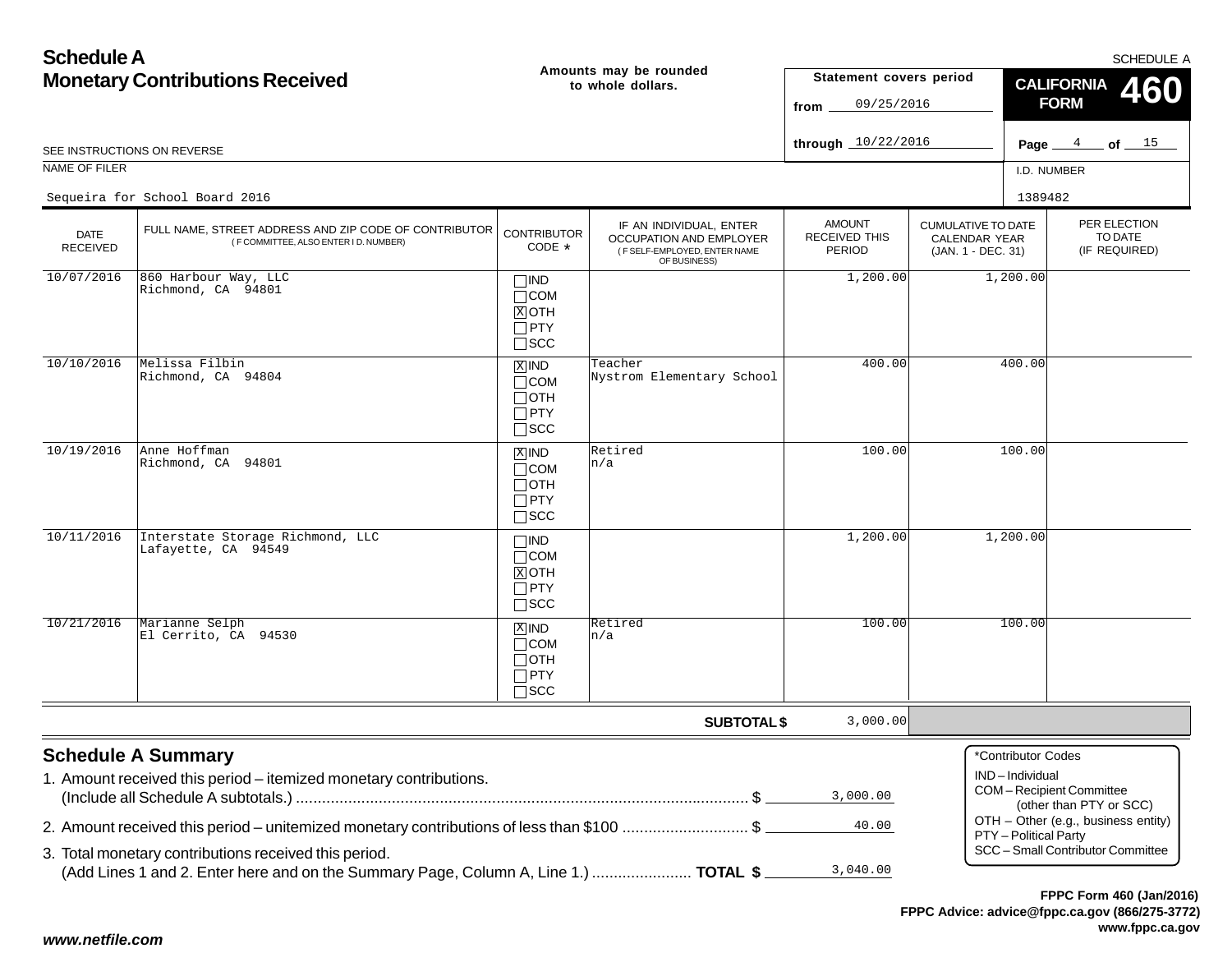| <b>Schedule A</b>                                                                        |                                                                                                                                               |                                                                    |                                                                                                    |                                                        |                                                                         |                                                                 | <b>SCHEDULE A</b>                        |  |
|------------------------------------------------------------------------------------------|-----------------------------------------------------------------------------------------------------------------------------------------------|--------------------------------------------------------------------|----------------------------------------------------------------------------------------------------|--------------------------------------------------------|-------------------------------------------------------------------------|-----------------------------------------------------------------|------------------------------------------|--|
| <b>Monetary Contributions Received</b>                                                   |                                                                                                                                               |                                                                    | Amounts may be rounded<br>to whole dollars.                                                        | Statement covers period<br>09/25/2016<br>from .        |                                                                         | <b>CALIFORNIA</b><br><b>FORM</b>                                |                                          |  |
|                                                                                          | SEE INSTRUCTIONS ON REVERSE                                                                                                                   |                                                                    |                                                                                                    | through 10/22/2016                                     |                                                                         |                                                                 | Page $4$ of $15$                         |  |
| NAME OF FILER                                                                            |                                                                                                                                               |                                                                    |                                                                                                    |                                                        |                                                                         | I.D. NUMBER                                                     |                                          |  |
|                                                                                          | Sequeira for School Board 2016                                                                                                                |                                                                    |                                                                                                    |                                                        |                                                                         | 1389482                                                         |                                          |  |
| <b>DATE</b><br><b>RECEIVED</b>                                                           | FULL NAME, STREET ADDRESS AND ZIP CODE OF CONTRIBUTOR<br>(F COMMITTEE, ALSO ENTER I D. NUMBER)                                                | <b>CONTRIBUTOR</b><br>CODE *                                       | IF AN INDIVIDUAL, ENTER<br>OCCUPATION AND EMPLOYER<br>(F SELF-EMPLOYED, ENTER NAME<br>OF BUSINESS) | <b>AMOUNT</b><br><b>RECEIVED THIS</b><br><b>PERIOD</b> | <b>CUMULATIVE TO DATE</b><br><b>CALENDAR YEAR</b><br>(JAN. 1 - DEC. 31) |                                                                 | PER ELECTION<br>TO DATE<br>(IF REQUIRED) |  |
| 10/07/2016                                                                               | 860 Harbour Way, LLC<br>Richmond, CA 94801                                                                                                    | $\Box$ IND<br>$\Box$ COM<br>$X$ OTH<br>$\Box$ PTY<br>$\square$ SCC |                                                                                                    | 1,200.00                                               |                                                                         | 1,200.00                                                        |                                          |  |
| 10/10/2016                                                                               | Melissa Filbin<br>Richmond, CA 94804                                                                                                          | $X$ IND<br>$\Box$ COM<br>$\Box$ OTH<br>$\Box$ PTY<br>$\square$ SCC | Teacher<br>Nystrom Elementary School                                                               | 400.00                                                 |                                                                         | 400.00                                                          |                                          |  |
| 10/19/2016                                                                               | Anne Hoffman<br>Richmond, CA 94801                                                                                                            | $X$ IND<br>$\Box$ COM<br>$\Box$ OTH<br>$\Box$ PTY<br>$\Box$ scc    | Retired<br>n/a                                                                                     | 100.00                                                 |                                                                         | 100.00                                                          |                                          |  |
| 10/11/2016                                                                               | Interstate Storage Richmond, LLC<br>Lafayette, CA 94549                                                                                       | $\Box$ IND<br>$\Box$ COM<br>$X$ OTH<br>$\Box$ PTY<br>$\square$ scc |                                                                                                    | 1,200.00                                               |                                                                         | 1,200.00                                                        |                                          |  |
| 10/21/2016                                                                               | Marianne Selph<br>El Cerrito, CA 94530                                                                                                        | $X$ IND<br>$\Box$ COM<br>$\Box$ OTH<br>$\Box$ PTY<br>$\Box$ SCC    | Retired<br>n/a                                                                                     | 100.00                                                 |                                                                         | 100.00                                                          |                                          |  |
|                                                                                          |                                                                                                                                               |                                                                    | <b>SUBTOTAL \$</b>                                                                                 | 3,000.00                                               |                                                                         |                                                                 |                                          |  |
|                                                                                          | <b>Schedule A Summary</b><br>1. Amount received this period - itemized monetary contributions.                                                |                                                                    |                                                                                                    | 3,000.00                                               |                                                                         | *Contributor Codes<br>IND-Individual<br>COM-Recipient Committee | (other than PTY or SCC)                  |  |
| 2. Amount received this period – unitemized monetary contributions of less than \$100 \$ | 40.00                                                                                                                                         |                                                                    |                                                                                                    | OTH - Other (e.g., business entity)                    |                                                                         |                                                                 |                                          |  |
|                                                                                          | 3. Total monetary contributions received this period.<br>(Add Lines 1 and 2. Enter here and on the Summary Page, Column A, Line 1.)  TOTAL \$ |                                                                    |                                                                                                    | 3,040.00                                               |                                                                         | PTY - Political Party                                           | SCC - Small Contributor Committee        |  |
|                                                                                          |                                                                                                                                               |                                                                    |                                                                                                    |                                                        |                                                                         |                                                                 | FPPC Form 460 (Jan/2016)                 |  |

**FPPC Advice: advice@fppc.ca.gov (866/275-3772)www.fppc.ca.gov**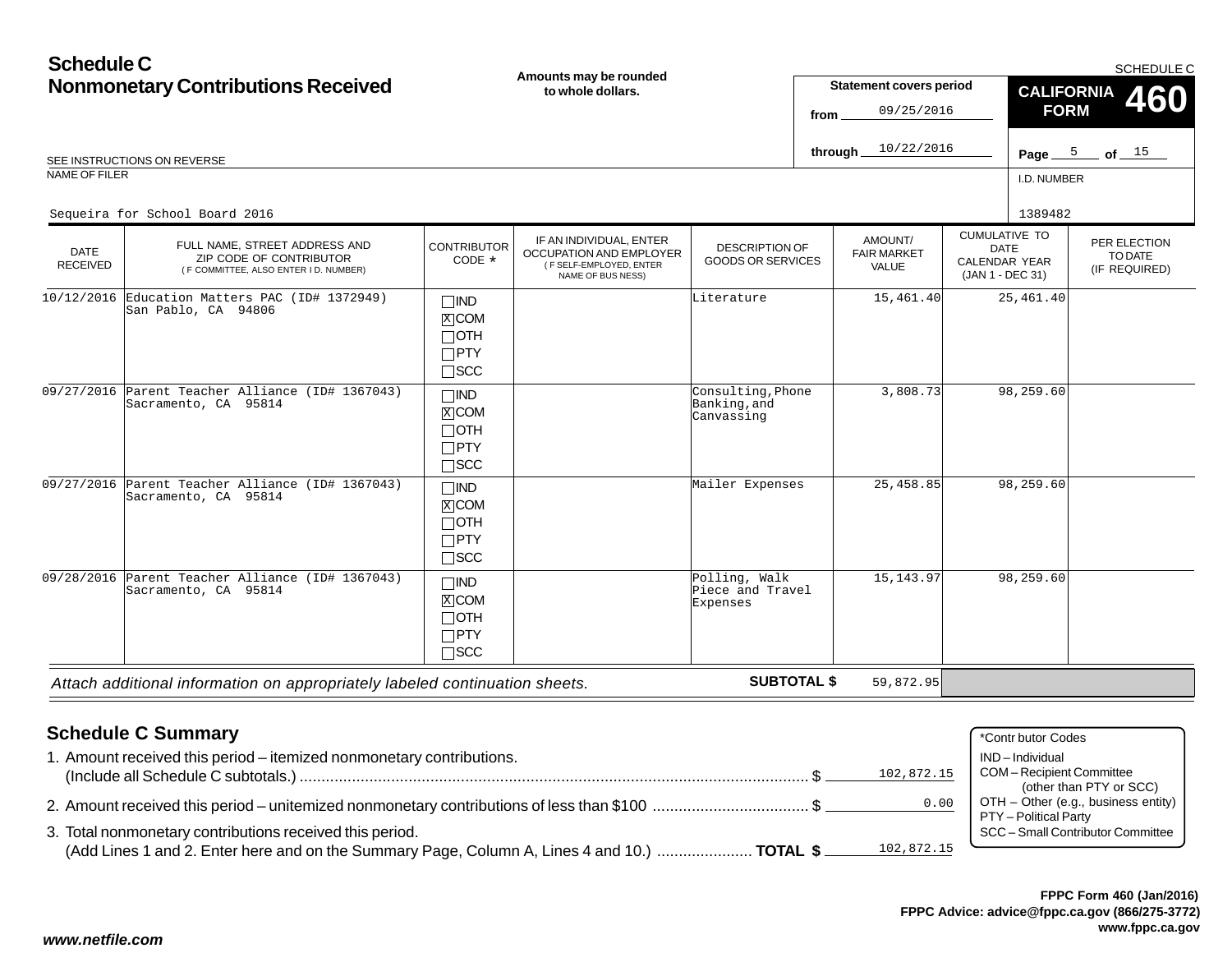#### **Schedule CNonmonetary Contributions Received** I.D. NUMBER*Attach additional information on appropriately labeled continuation sheets.* CUMULATIVE TODATE CALENDAR YEAR (JAN 1 - DEC 31) AMOUNT/ FAIR MARKETVALUEPER ELECTIONTO DATE(IF REQUIRED) DATE RECEIVED**Amounts may be rounded to whole dollars.**DESCRIPTION OF GOODS OR SERVICESSCHEDULE CREE INSTRUCTIONS ON REVERSE **Page 2018** of the SEE INSTRUCTIONS ON REVERSE **of** the SEE INSTRUCTIONS ON REVERSE NAME OF FILER**Statement covers period fromthrough SUBTOTAL \$** IF AN INDIVIDUAL, ENTER OCCUPATION AND EMPLOYER ( F SELF-EMPLOYED, ENTER NAME OF BUS NESS) FULL NAME, STREET ADDRESS AND ZIP CODE OF CONTRIBUTOR ( F COMMITTEE, ALSO ENTER I D. NUMBER) **CONTRIBUTOR** CODE\* $\Box$ IND  $\overline{\text{x}}$  COM  $\lnot$  oth PTY SCC **CALIFORNIAFORM 460** IND ⊠COM  $\Box$ oth  $\Box$ PTY  $\Box$ SCC  $\Box$ IND  $\overline{\text{X}}$  COM  $\Box$ OTH PTY SCC  $\Box$ IND  $\overline{\text{x}}$ icom  $\lnot$  oth PTY  $\Box$ SCC Page  $\frac{5}{2}$  of  $\frac{15}{2}$ 09/25/201610/22/2016Sequeira for School Board 20166 1389482<br>1389482 1389482 10/12/2016 Education Matters PAC (ID# 1372949) San Pablo, CA 94806Literature 15,461.40 25,461.40 09/27/2016 Parent Teacher Alliance (ID# 1367043) Sacramento, CA 95814Consulting,PhoneBanking,and Canvassing3,808.73 98,259.60 09/27/2016 Parent Teacher Alliance (ID# 1367043) Sacramento, CA 95814Mailer Expenses 25,458.85 98,259.60 09/28/2016 Parent Teacher Alliance (ID# 1367043) Sacramento, CA 95814Polling, Walk Piece and TravelExpenses15,143.97 98,259.60 59,872.95

| <b>Schedule C Summary</b>                                                                                                                                              | *Contr butor Codes                  |
|------------------------------------------------------------------------------------------------------------------------------------------------------------------------|-------------------------------------|
| 1. Amount received this period – itemized nonmonetary contributions.                                                                                                   | IND – Individual                    |
| 102,872.15                                                                                                                                                             | COM - Recipient Committee           |
|                                                                                                                                                                        | (other than PTY or SCC)             |
| 0.00                                                                                                                                                                   | OTH - Other (e.g., business entity) |
| 2. Amount received this period – unitemized nonmonetary contributions of less than \$100 \$                                                                            | PTY - Political Party               |
| 3. Total nonmonetary contributions received this period.<br>102,872.15<br>(Add Lines 1 and 2. Enter here and on the Summary Page, Column A, Lines 4 and 10.)  TOTAL \$ | SCC - Small Contributor Committee   |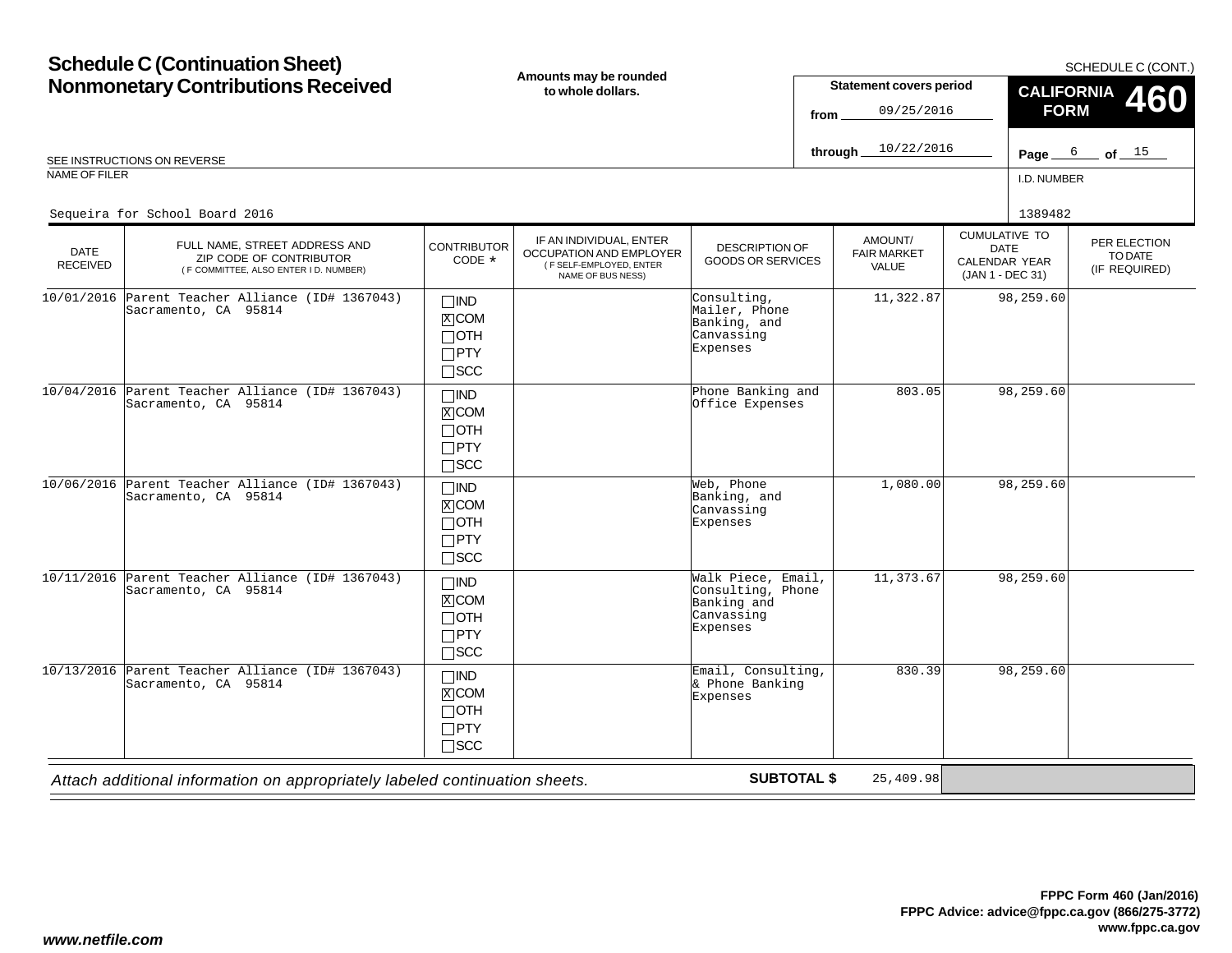#### **Schedule C (Continuation Sheet) Nonmonetary Contributions Received** I.D. NUMBERCUMULATIVE TODATE CALENDAR YEAR (JAN 1 - DEC 31) AMOUNT/FAIR MARKETVALUEPER ELECTIONTO DATE (IF REQUIRED) DATE RECEIVED**Amounts may be rounded to whole dollars.**DESCRIPTION OF GOODS OR SERVICESSCHEDULE C (CONT.) REE INSTRUCTIONS ON REVERSE **Page 2018 CONTROL** CONSIDERING THE CONTROL OF CHARGING THE CONSIDERING ON REVERSE **Page 3** of NAME OF FILER**Statement covers period fromthrough** IF AN INDIVIDUAL, ENTER OCCUPATION AND EMPLOYER ( F SELF-EMPLOYED, ENTER NAME OF BUS NESS) FULL NAME, STREET ADDRESS AND ZIP CODE OF CONTRIBUTOR ( F COMMITTEE, ALSO ENTER I D. NUMBER) **CONTRIBUTOR** CODE\* $\Box$ IND  $\overline{\text{x}}$  COM  $\lnot$  oth PTY SCC **CALIFORNIA FORM**IND  $\overline{\text{x}}$ icom OTHPTYSCCPage  $6$  of  $15$ 09/25/201610/22/2016Sequeira for School Board 20166 1389482<br>1389482 1389482 10/01/2016 Parent Teacher Alliance (ID# 1367043) Sacramento, CA 95814Consulting, Mailer, Phone Banking, andCanvassingExpenses11,322.87 98,259.60 10/04/2016 Parent Teacher Alliance (ID# 1367043) Sacramento, CA 95814 Phone Banking andOffice Expenses803.05 98,259.60

|            |                                                                             | ___<br>$\Box$ oth<br>$\Box$ PTY<br>$\Box$ SCC                                   |                                                                                  |           |           |  |
|------------|-----------------------------------------------------------------------------|---------------------------------------------------------------------------------|----------------------------------------------------------------------------------|-----------|-----------|--|
|            | 10/06/2016 Parent Teacher Alliance (ID# 1367043)<br>Sacramento, CA 95814    | $\square$ IND<br>$X$ COM<br>$\Box$ OTH<br>$\Box$ PTY<br>$\square$ SCC           | Web, Phone<br>Banking, and<br>Canvassing<br>Expenses                             | 1,080.00  | 98,259.60 |  |
| 10/11/2016 | Parent Teacher Alliance (ID# 1367043)<br>Sacramento, CA 95814               | $\Box$ IND<br>$X$ COM<br>$\Box$ oth<br>$\Box$ PTY<br>$\Box$ scc                 | Walk Piece, Email,<br>Consulting, Phone<br>Banking and<br>Canvassing<br>Expenses | 11,373.67 | 98,259.60 |  |
| 10/13/2016 | Parent Teacher Alliance (ID# 1367043)<br>Sacramento, CA 95814               | $\square$ IND<br>$\overline{X}$ COM<br>$\Box$ OTH<br>$\Box$ PTY<br>$\sqcap$ SCC | Email, Consulting,<br>& Phone Banking<br>Expenses                                | 830.39    | 98,259.60 |  |
|            | Attach additional information on appropriately labeled continuation sheets. |                                                                                 | <b>SUBTOTAL \$</b>                                                               | 25,409.98 |           |  |

**460**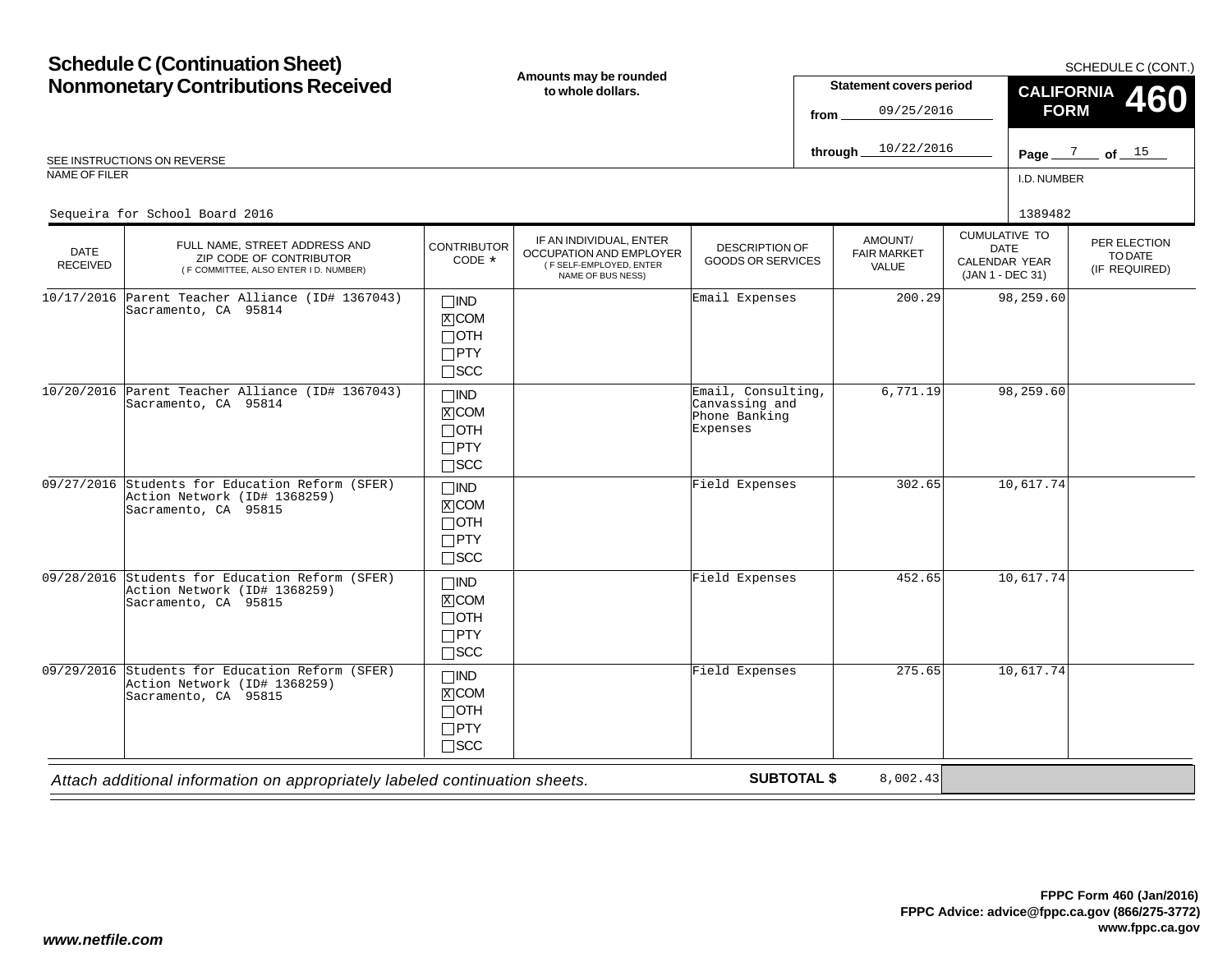#### **Schedule C (Continuation Sheet) Nonmonetary Contributions Received** I.D. NUMBERCUMULATIVE TODATE CALENDAR YEAR (JAN 1 - DEC 31) AMOUNT/FAIR MARKETVALUEPER ELECTIONTO DATE(IF REQUIRED) DATE RECEIVED**Amounts may be rounded to whole dollars.**DESCRIPTION OF GOODS OR SERVICESSCHEDULE C (CONT.) REE INSTRUCTIONS ON REVERSE **Page 2008 CONTROL** CONTROL CONTROL CONTROL CONTROL CONTROL CONTROL CONTROL CONTROL CONTROL CONTROL CONTROL CONTROL CONTROL CONTROL CONTROL CONTROL CONTROL CONTROL CONTROL CONTROL CONTROL CONTRO NAME OF FILER**Statement covers period fromthrough** IF AN INDIVIDUAL, ENTER OCCUPATION AND EMPLOYER ( F SELF-EMPLOYED, ENTER NAME OF BUS NESS) FULL NAME, STREET ADDRESS AND ZIP CODE OF CONTRIBUTOR ( F COMMITTEE, ALSO ENTER I D. NUMBER) **CONTRIBUTOR** CODE\* $\Box$ IND  $\overline{\text{x}}$  COM  $\lnot$  oth PTY SCC **CALIFORNIA FORM 460** IND ⊠COM  $\Box$ oth  $\Box$ PTY  $\Box$ SCC  $\Box$ IND **X** COM OTH PTY SCC  $\Box$ IND **X**COM  $\Box$ OTH PTY  $\Box$ SCC  $\Box$ IND **X**COM  $\Box$ OTH  $\Box$ PTY  $\Box$ SCC Page  $\frac{7}{2}$  of  $\frac{15}{2}$ 09/25/201610/22/2016Sequeira for School Board 20166 1389482<br>1389482 1389482 10/17/2016 Parent Teacher Alliance (ID# 1367043) Sacramento, CA 95814Email Expenses 200.29 98,259.60 10/20/2016 Parent Teacher Alliance (ID# 1367043) Sacramento, CA 95814Email, Consulting,Canvassing and Phone BankingExpenses6,771.19 98,259.60 09/27/2016 Students for Education Reform (SFER) Action Network (ID# 1368259)Sacramento, CA 95815  $\frac{X}{A}$ Field Expenses 302.65 10,617.74 09/28/2016 Students for Education Reform (SFER) Action Network (ID# 1368259)Sacramento, CA 95815 $\frac{X}{A}$ Field Expenses 452.65 10,617.74 09/29/2016 Students for Education Reform (SFER) Action Network (ID# 1368259)Sacramento, CA 95815 $\frac{X}{A}$ Field Expenses10,617.74

*Attach additional information on appropriately labeled continuation sheets.*

**SUBTOTAL \$**

8,002.43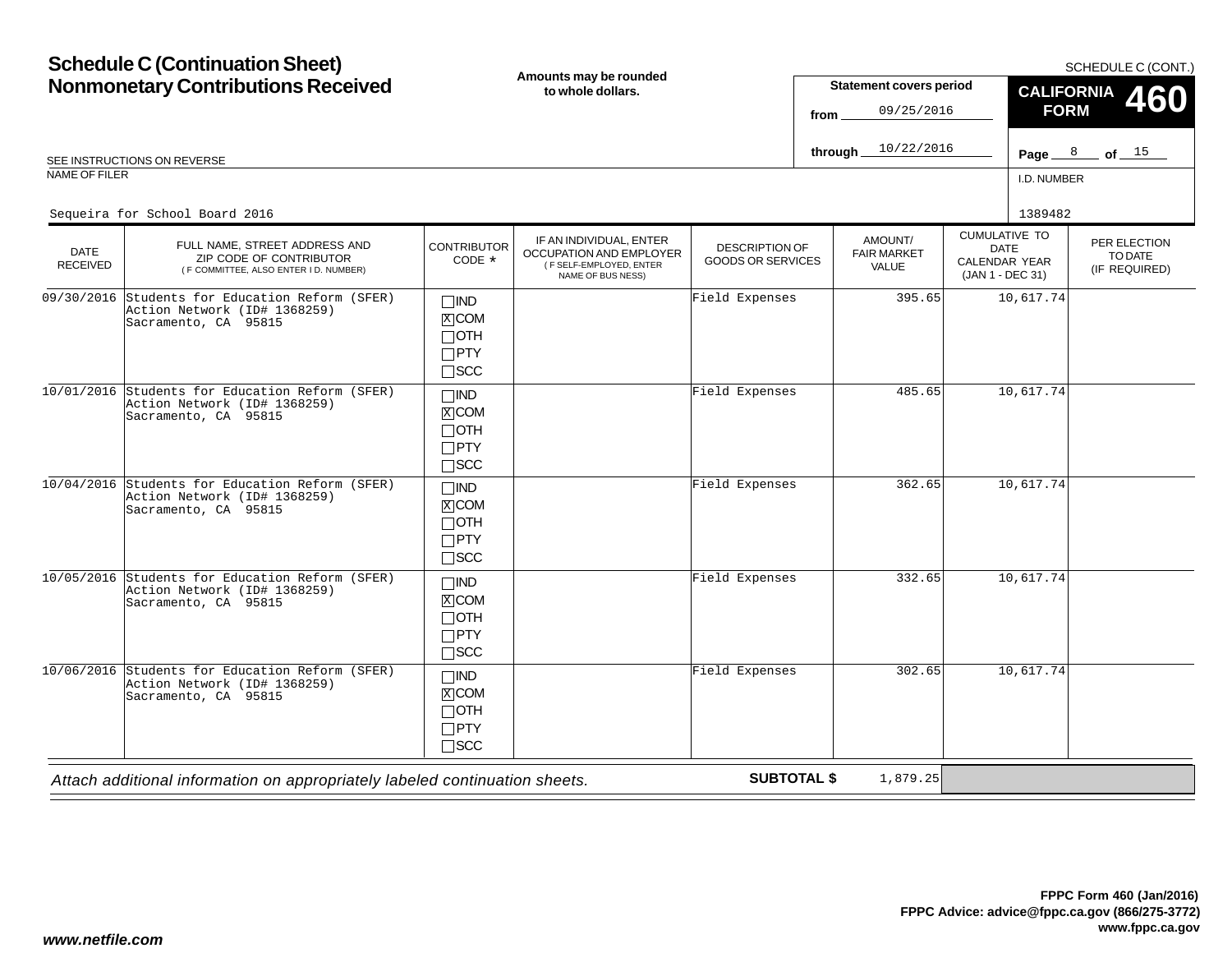#### **Schedule C (Continuation Sheet) Nonmonetary Contributions Received** I.D. NUMBERCUMULATIVE TODATE CALENDAR YEAR (JAN 1 - DEC 31) AMOUNT/FAIR MARKETVALUEPER ELECTIONTO DATE(IF REQUIRED) DATE RECEIVED**Amounts may be rounded to whole dollars.**DESCRIPTION OF GOODS OR SERVICESSCHEDULE C (CONT.) REE INSTRUCTIONS ON REVERSE **Page 28 Contract on the SEE INSTRUCTIONS** ON REVERSE **Page 3 Contract on the SEE INSTRUCTIONS** ON REVERSE NAME OF FILER**Statement covers period fromthrough** IF AN INDIVIDUAL, ENTER OCCUPATION AND EMPLOYER ( F SELF-EMPLOYED, ENTER NAME OF BUS NESS) FULL NAME, STREET ADDRESS AND ZIP CODE OF CONTRIBUTOR ( F COMMITTEE, ALSO ENTER I D. NUMBER) **CONTRIBUTOR** CODE\* $\Box$ IND **X**COM  $\Box$ OTH PTY SCC **CALIFORNIA FORM 460** IND COM OTH  $\Box$ PTY  $\Box$ SCC  $\Box$ IND **X** COM OTH PTY SCC  $\Box$ IND  $\overline{X}$ COM  $\Box$ OTH PTY  $\Box$ SCC  $\Box$ IND **X**COM  $\Box$ OTH  $\Box$ PTY  $\Box$ SCC Page  $8$  of  $15$ 09/25/201610/22/2016Sequeira for School Board 20166 1389482<br>1389482 1389482 09/30/2016 Students for Education Reform (SFER) Action Network (ID# 1368259)Sacramento, CA 95815 $\frac{X}{X}$ Field Expenses 395.65 10,617.74 10/01/2016 Students for Education Reform (SFER) Action Network (ID# 1368259)Sacramento, CA 95815 $\frac{1}{2}$ Field Expenses 485.65 10,617.74 10/04/2016 Students for Education Reform (SFER) Action Network (ID# 1368259)Sacramento, CA 95815  $\frac{X}{A}$ Field Expenses 362.65 10,617.74 10/05/2016 Students for Education Reform (SFER) Action Network (ID# 1368259)Sacramento, CA 95815 $\frac{X}{A}$ Field Expenses 332.65 10,617.74 10/06/2016 Students for Education Reform (SFER) Action Network (ID# 1368259)Sacramento, CA 95815 $\frac{X}{A}$ Field Expenses302.65 10,617.74

*Attach additional information on appropriately labeled continuation sheets.*

**SUBTOTAL \$**

1,879.25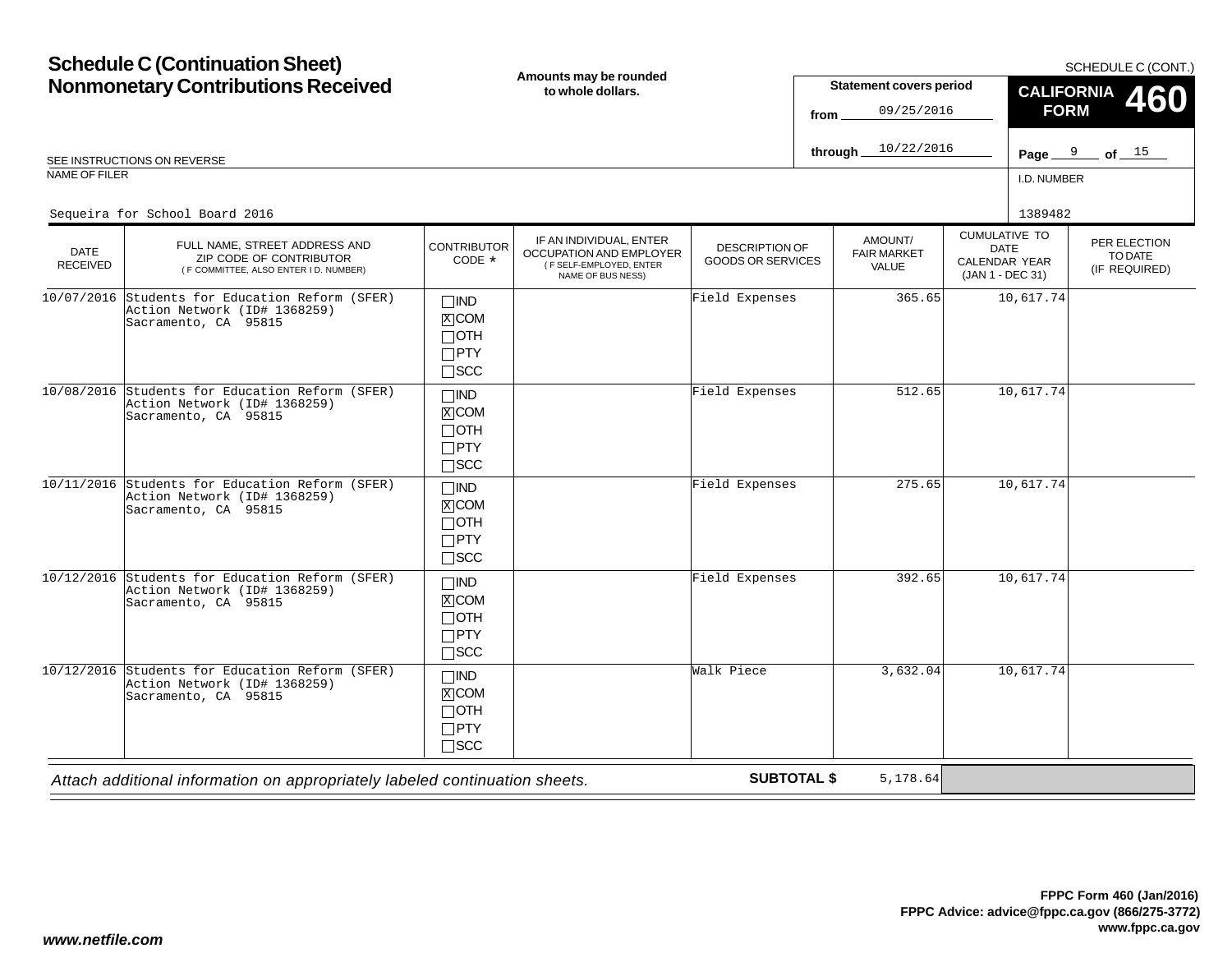#### **Schedule C (Continuation Sheet) Nonmonetary Contributions Received** I.D. NUMBERCUMULATIVE TODATE CALENDAR YEAR (JAN 1 - DEC 31) AMOUNT/FAIR MARKETVALUEPER ELECTIONTO DATE(IF REQUIRED) DATE RECEIVED**Amounts may be rounded to whole dollars.**DESCRIPTION OF GOODS OR SERVICESSCHEDULE C (CONT.) REE INSTRUCTIONS ON REVERSE **Page 2008** SEE INSTRUCTIONS ON REVERSE **Page 31 CM** SEE INSTRUCTIONS ON REVERSE NAME OF FILER**Statement covers period fromthrough** IF AN INDIVIDUAL, ENTER OCCUPATION AND EMPLOYER ( F SELF-EMPLOYED, ENTER NAME OF BUS NESS) FULL NAME, STREET ADDRESS AND ZIP CODE OF CONTRIBUTOR ( F COMMITTEE, ALSO ENTER I D. NUMBER) **CONTRIBUTOR** CODE\* $\Box$ IND **X**COM  $\Box$ OTH PTY SCC **CALIFORNIA FORM 460** IND COM OTH  $\Box$ PTY  $\Box$ SCC  $\Box$ IND **X** COM OTH PTY SCC  $\Box$ IND  $\overline{X}$ COM  $\Box$ OTH PTY  $\Box$ SCC  $\Box$ IND **X**COM  $\Box$ OTH Page  $9$  of  $15$ 09/25/201610/22/2016Sequeira for School Board 20166 1389482<br>1389482 1389482 10/07/2016 Students for Education Reform (SFER) Action Network (ID# 1368259)Sacramento, CA 95815 $\frac{X}{X}$ Field Expenses 365.65 10,617.74 10/08/2016 Students for Education Reform (SFER) Action Network (ID# 1368259)Sacramento, CA 95815 $\frac{1}{2}$ Field Expenses 512.65 10,617.74 10/11/2016 Students for Education Reform (SFER) Action Network (ID# 1368259)Sacramento, CA 95815  $\frac{X}{A}$ Field Expenses10,617.74 10/12/2016 Students for Education Reform (SFER) Action Network (ID# 1368259)Sacramento, CA 95815 $\frac{X}{A}$ Field Expenses 392.65 10,617.74 10/12/2016 Students for Education Reform (SFER) Action Network (ID# 1368259)Sacramento, CA 95815 $\frac{X}{A}$ Walk Piece3,632.04 10,617.74

*Attach additional information on appropriately labeled continuation sheets.*

 $\Box$ PTY  $\Box$ SCC

**SUBTOTAL \$**

5,178.64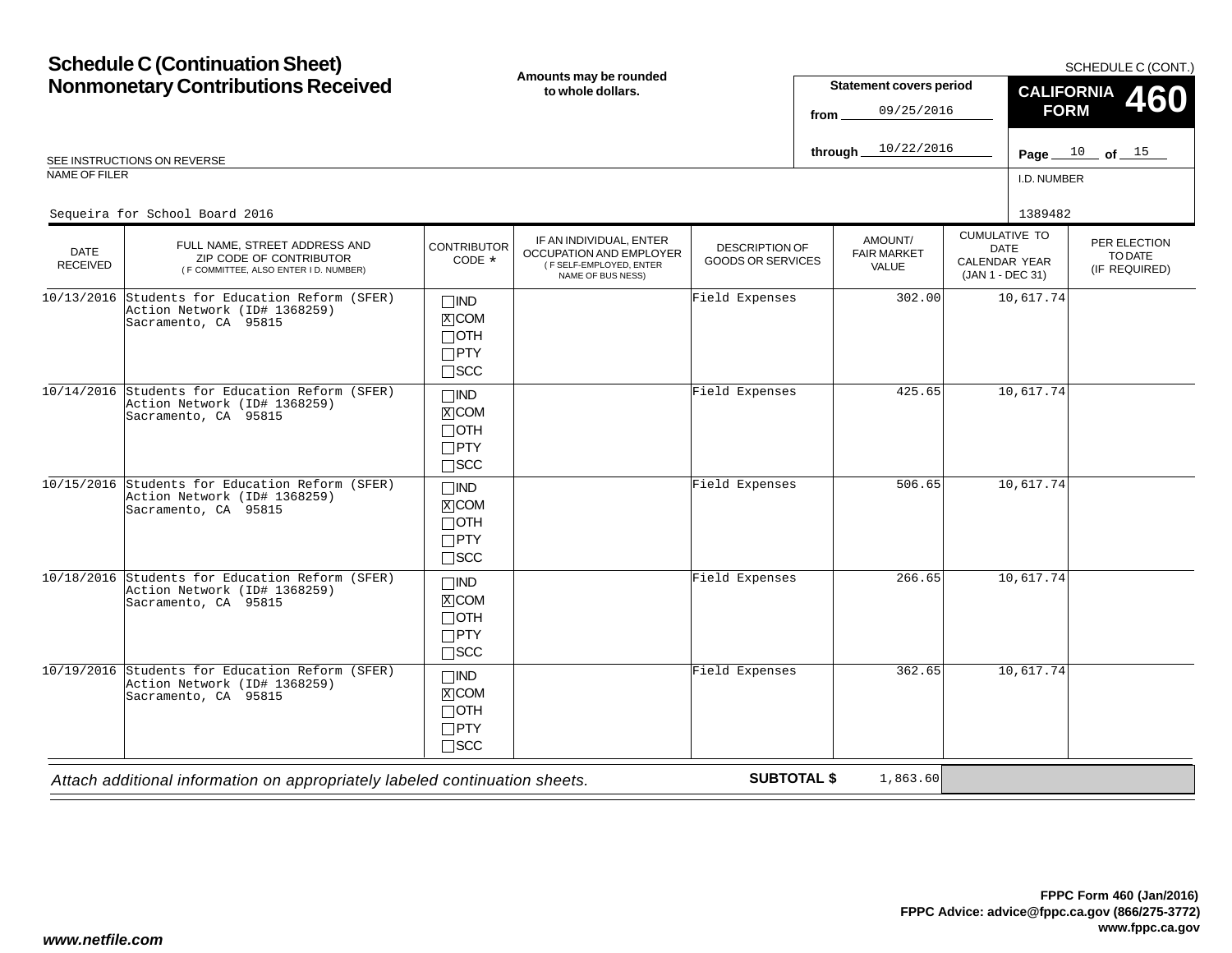#### **Schedule C (Continuation Sheet) Nonmonetary Contributions Received** I.D. NUMBERCUMULATIVE TODATE CALENDAR YEAR (JAN 1 - DEC 31) AMOUNT/FAIR MARKETVALUEPER ELECTIONTO DATE(IF REQUIRED) DATE RECEIVED**Amounts may be rounded to whole dollars.**DESCRIPTION OF GOODS OR SERVICESSCHEDULE C (CONT.) **Page of** SEE INSTRUCTIONS ON REVERSE NAME OF FILER**Statement covers period fromthrough** IF AN INDIVIDUAL, ENTER OCCUPATION AND EMPLOYER ( F SELF-EMPLOYED, ENTER NAME OF BUS NESS) FULL NAME, STREET ADDRESS AND ZIP CODE OF CONTRIBUTOR ( F COMMITTEE, ALSO ENTER I D. NUMBER) **CONTRIBUTOR** CODE\* $\Box$ IND **X**COM  $\Box$ OTH PTY SCC **CALIFORNIA FORM 460** IND COM OTH  $\Box$ PTY  $\Box$ SCC  $\Box$ IND **X** COM OTH PTY SCC  $\Box$ IND  $\overline{X}$ COM  $\Box$ OTH PTY  $\Box$ SCC  $\Box$ IND **X**COM  $\Box$ OTH  $\Box$ PTY Page  $10$  of  $15$ 09/25/201610/22/2016Sequeira for School Board 20166 1389482<br>1389482 1389482 10/13/2016 Students for Education Reform (SFER) Action Network (ID# 1368259)Sacramento, CA 95815 $\frac{X}{X}$ Field Expenses 302.00 10,617.74 10/14/2016 Students for Education Reform (SFER) Action Network (ID# 1368259)Sacramento, CA 95815 $\frac{1}{2}$ Field Expenses 425.65 10,617.74 10/15/2016 Students for Education Reform (SFER) Action Network (ID# 1368259)Sacramento, CA 95815  $\frac{X}{A}$ Field Expenses 506.65 10,617.74 10/18/2016 Students for Education Reform (SFER) Action Network (ID# 1368259)Sacramento, CA 95815 $\frac{X}{A}$ Field Expenses10,617.74 10/19/2016 Students for Education Reform (SFER) Action Network (ID# 1368259)Sacramento, CA 95815 $\frac{X}{A}$ Field Expenses362.65 10,617.74

*Attach additional information on appropriately labeled continuation sheets.*

 $\Box$ SCC

**SUBTOTAL \$**

1,863.60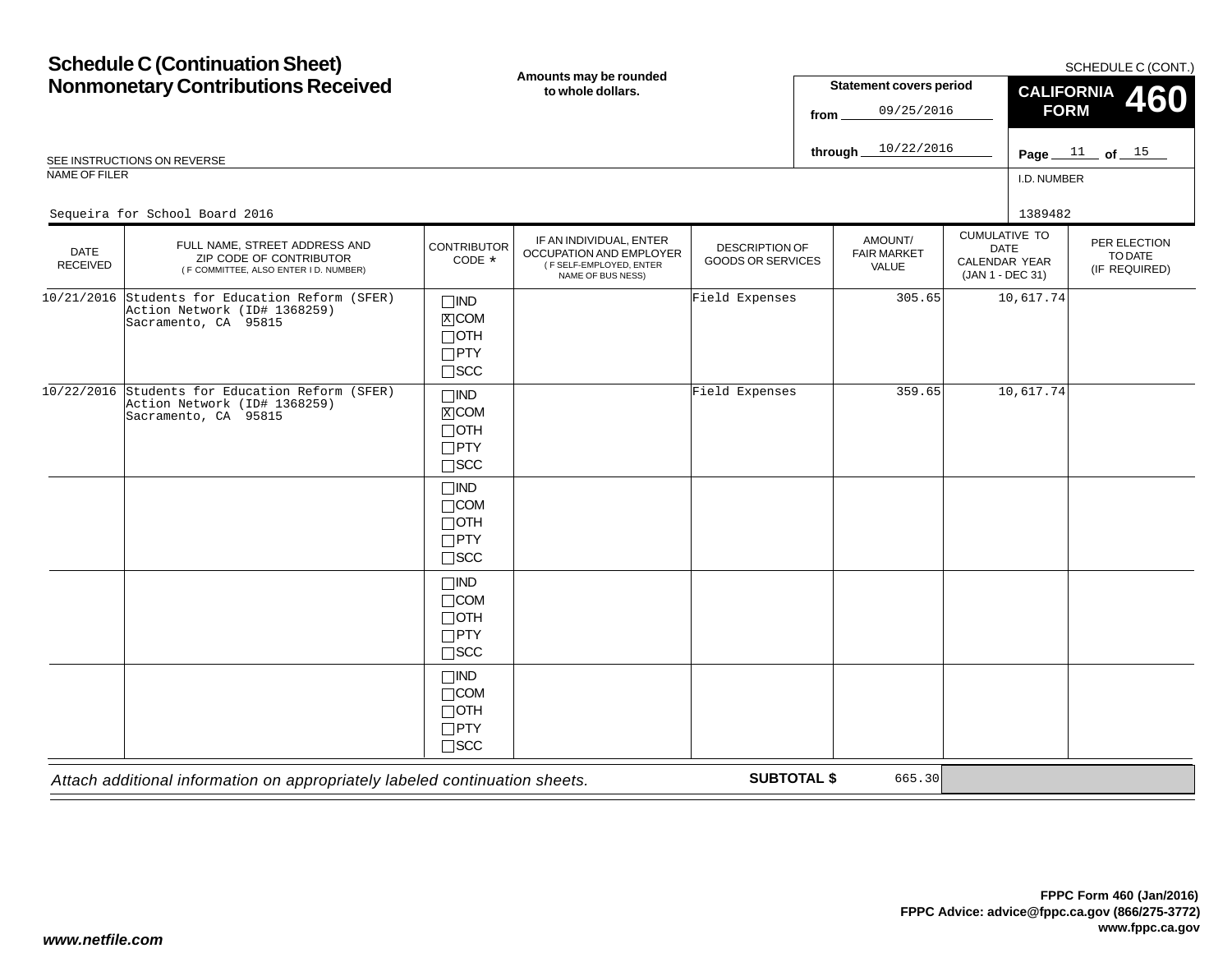#### **Schedule C (Continuation Sheet) Nonmonetary Contributions Received** I.D. NUMBER*Attach additional information on appropriately labeled continuation sheets.* CUMULATIVE TODATE CALENDAR YEAR (JAN 1 - DEC 31) AMOUNT/FAIR MARKETVALUEPER ELECTIONTO DATE(IF REQUIRED) DATE RECEIVED**Amounts may be rounded to whole dollars.**DESCRIPTION OF GOODS OR SERVICESSCHEDULE C (CONT.) **Page of** SEE INSTRUCTIONS ON REVERSE NAME OF FILER**Statement covers period fromthrough SUBTOTAL \$** IF AN INDIVIDUAL, ENTER OCCUPATION AND EMPLOYER ( F SELF-EMPLOYED, ENTER NAME OF BUS NESS) FULL NAME, STREET ADDRESS AND ZIP CODE OF CONTRIBUTOR ( F COMMITTEE, ALSO ENTER I D. NUMBER) **CONTRIBUTOR** CODE\* $\Box$ IND **X**COM  $\Box$ OTH PTY SCC **CALIFORNIA FORM 460** IND COM OTH PTY  $\Box$ SCC  $\Box$ IND  $\Box$ COM OTH PTY SCC  $\Box$ IND COM  $\Box$ OTH PTY SCC  $\Box$ IND  $\Box$ COM OTH  $\Box$ PTY  $\Box$ SCC Page  $11$  of  $15$ 09/25/201610/22/2016Sequeira for School Board 20166 1389482<br>1389482 1389482 10/21/2016 Students for Education Reform (SFER) Action Network (ID# 1368259)Sacramento, CA 95815 $\frac{X}{X}$ Field Expenses 305.65 10,617.74 10/22/2016 Students for Education Reform (SFER) Action Network (ID# 1368259)Sacramento, CA 95815 $\frac{1}{2}$ Field Expenses 359.65 10,617.74 665.30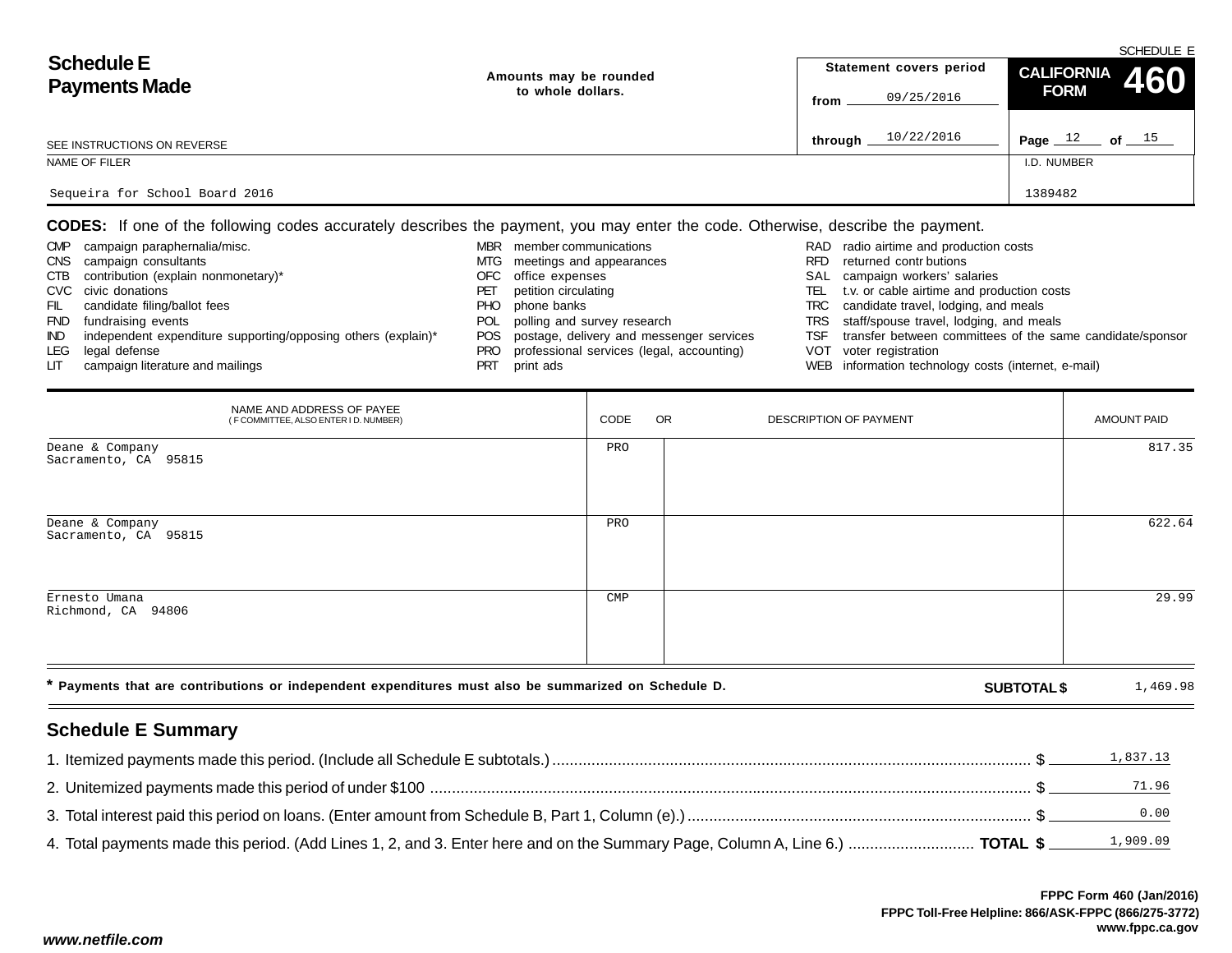|                                |                        | SCHEDULE E              |                      |  |  |  |  |
|--------------------------------|------------------------|-------------------------|----------------------|--|--|--|--|
| <b>Schedule E</b>              | Amounts may be rounded | Statement covers period | CALIFORNIA 460       |  |  |  |  |
| <b>Payments Made</b>           | to whole dollars.      | 09/25/2016<br>from      | <b>FORM</b>          |  |  |  |  |
|                                |                        |                         |                      |  |  |  |  |
| SEE INSTRUCTIONS ON REVERSE    |                        | 10/22/2016<br>through   | Page $12$<br>of $15$ |  |  |  |  |
| NAME OF FILER                  |                        |                         | I.D. NUMBER          |  |  |  |  |
|                                |                        |                         |                      |  |  |  |  |
| Sequeira for School Board 2016 |                        |                         | 1389482              |  |  |  |  |

**CODES:** If one of the following codes accurately describes the payment, you may enter the code. Otherwise, describe the payment.

| <b>CMP</b> | campaign paraphernalia/misc.                                  | <b>MBR</b> | member communications                     |      | RAD radio airtime and production costs                    |
|------------|---------------------------------------------------------------|------------|-------------------------------------------|------|-----------------------------------------------------------|
| <b>CNS</b> | campaign consultants                                          | MTG        | meetings and appearances                  | RFD. | returned contr butions                                    |
| CTB        | contribution (explain nonmonetary)*                           | OFC.       | office expenses                           |      | SAL campaign workers' salaries                            |
|            | CVC civic donations                                           | ۲Е         | petition circulating                      | TEL  | t.v. or cable airtime and production costs                |
| FIL.       | candidate filing/ballot fees                                  | PHO.       | phone banks                               | TRC  | candidate travel, lodging, and meals                      |
| <b>FND</b> | fundraising events                                            |            | POL polling and survey research           |      | TRS staff/spouse travel, lodging, and meals               |
| IND.       | independent expenditure supporting/opposing others (explain)* | <b>POS</b> | postage, delivery and messenger services  | TSF  | transfer between committees of the same candidate/sponsor |
| LEG        | legal defense                                                 | <b>PRO</b> | professional services (legal, accounting) |      | VOT voter registration                                    |
| LГ         | campaign literature and mailings                              | <b>PRT</b> | print ads                                 |      | WEB information technology costs (internet, e-mail)       |

| NAME AND ADDRESS OF PAYEE<br>(F COMMITTEE, ALSO ENTER I D. NUMBER)                                   | CODE           | OR | DESCRIPTION OF PAYMENT |                    | <b>AMOUNT PAID</b> |
|------------------------------------------------------------------------------------------------------|----------------|----|------------------------|--------------------|--------------------|
| Deane & Company<br>Sacramento, CA 95815                                                              | PRO            |    |                        |                    | 817.35             |
| Deane & Company<br>Sacramento, CA 95815                                                              | PRO            |    |                        |                    | 622.64             |
| Ernesto Umana<br>Richmond, CA 94806                                                                  | $\mathsf{CMP}$ |    |                        |                    | 29.99              |
| * Payments that are contributions or independent expenditures must also be summarized on Schedule D. |                |    |                        | <b>SUBTOTAL \$</b> | 1,469.98           |

# **Schedule E Summary**

|                                                                                                                              | <u>1,837.13</u> |
|------------------------------------------------------------------------------------------------------------------------------|-----------------|
|                                                                                                                              | 71.96           |
|                                                                                                                              | 0.00            |
| 4. Total payments made this period. (Add Lines 1, 2, and 3. Enter here and on the Summary Page, Column A, Line 6.)  TOTAL \$ |                 |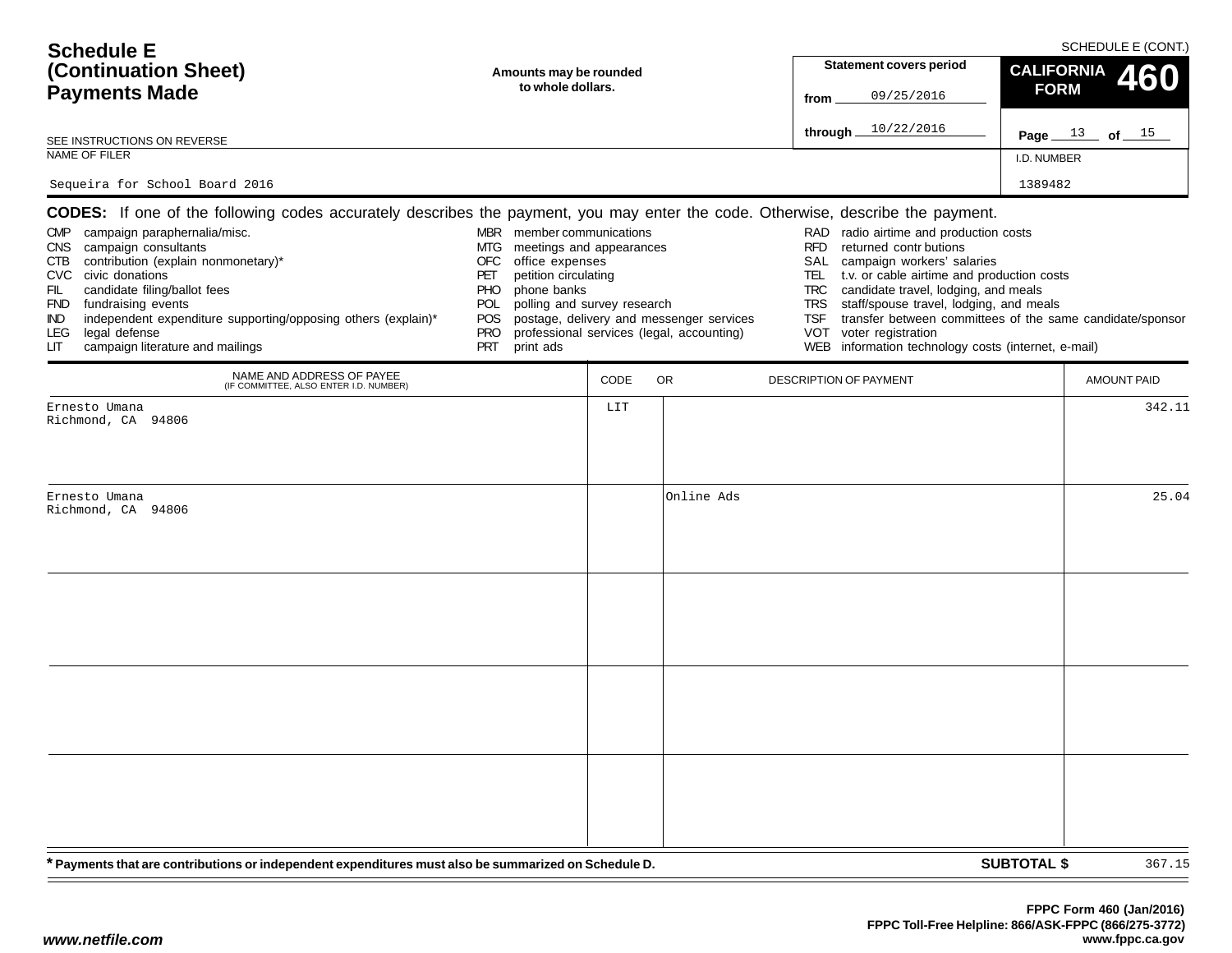| <b>Schedule E</b><br>(Continuation Sheet)<br><b>Payments Made</b><br>SEE INSTRUCTIONS ON REVERSE<br>NAME OF FILER<br>Sequeira for School Board 2016                                                                                                                                                                                                                                                                                                                                                          | Amounts may be rounded<br>to whole dollars.                                                                                                                                                                              |      |                                                                                       | <b>Statement covers period</b><br>09/25/2016<br>from<br>through 10/22/2016                                                                                                                                                                                                                                                                                                                                 | SCHEDULE E (CONT.)<br><b>CALIFORNIA</b><br>460<br><b>FORM</b><br>Page $13$ of $15$<br>I.D. NUMBER<br>1389482 |        |
|--------------------------------------------------------------------------------------------------------------------------------------------------------------------------------------------------------------------------------------------------------------------------------------------------------------------------------------------------------------------------------------------------------------------------------------------------------------------------------------------------------------|--------------------------------------------------------------------------------------------------------------------------------------------------------------------------------------------------------------------------|------|---------------------------------------------------------------------------------------|------------------------------------------------------------------------------------------------------------------------------------------------------------------------------------------------------------------------------------------------------------------------------------------------------------------------------------------------------------------------------------------------------------|--------------------------------------------------------------------------------------------------------------|--------|
| <b>CODES:</b> If one of the following codes accurately describes the payment, you may enter the code. Otherwise, describe the payment.<br>campaign paraphernalia/misc.<br><b>CMP</b><br>CNS campaign consultants<br>contribution (explain nonmonetary)*<br>CTB<br>CVC civic donations<br>candidate filing/ballot fees<br>FIL<br><b>FND</b><br>fundraising events<br>independent expenditure supporting/opposing others (explain)*<br>IND<br>legal defense<br>LEG.<br>campaign literature and mailings<br>LIТ | MBR member communications<br>MTG meetings and appearances<br>office expenses<br>OFC<br>PET<br>petition circulating<br>phone banks<br>PHO.<br>polling and survey research<br>POL<br>POS<br><b>PRO</b><br>PRT<br>print ads |      | postage, delivery and messenger services<br>professional services (legal, accounting) | RAD radio airtime and production costs<br><b>RFD</b><br>returned contr butions<br>campaign workers' salaries<br>SAL<br>TEL<br>t.v. or cable airtime and production costs<br><b>TRC</b><br>candidate travel, lodging, and meals<br>staff/spouse travel, lodging, and meals<br><b>TRS</b><br><b>TSF</b><br>voter registration<br><b>VOT</b><br>information technology costs (internet, e-mail)<br><b>WEB</b> | transfer between committees of the same candidate/sponsor                                                    |        |
| NAME AND ADDRESS OF PAYEE<br>(IF COMMITTEE, ALSO ENTER I.D. NUMBER)                                                                                                                                                                                                                                                                                                                                                                                                                                          |                                                                                                                                                                                                                          | CODE | OR.                                                                                   | DESCRIPTION OF PAYMENT                                                                                                                                                                                                                                                                                                                                                                                     | <b>AMOUNT PAID</b>                                                                                           |        |
| Ernesto Umana<br>Richmond, CA 94806                                                                                                                                                                                                                                                                                                                                                                                                                                                                          |                                                                                                                                                                                                                          | LIT  |                                                                                       |                                                                                                                                                                                                                                                                                                                                                                                                            |                                                                                                              | 342.11 |
| Ernesto Umana<br>Richmond, CA 94806                                                                                                                                                                                                                                                                                                                                                                                                                                                                          |                                                                                                                                                                                                                          |      | Online Ads                                                                            |                                                                                                                                                                                                                                                                                                                                                                                                            |                                                                                                              | 25.04  |
| * Payments that are contributions or independent expenditures must also be summarized on Schedule D.                                                                                                                                                                                                                                                                                                                                                                                                         |                                                                                                                                                                                                                          |      |                                                                                       |                                                                                                                                                                                                                                                                                                                                                                                                            | <b>SUBTOTAL \$</b>                                                                                           | 367.15 |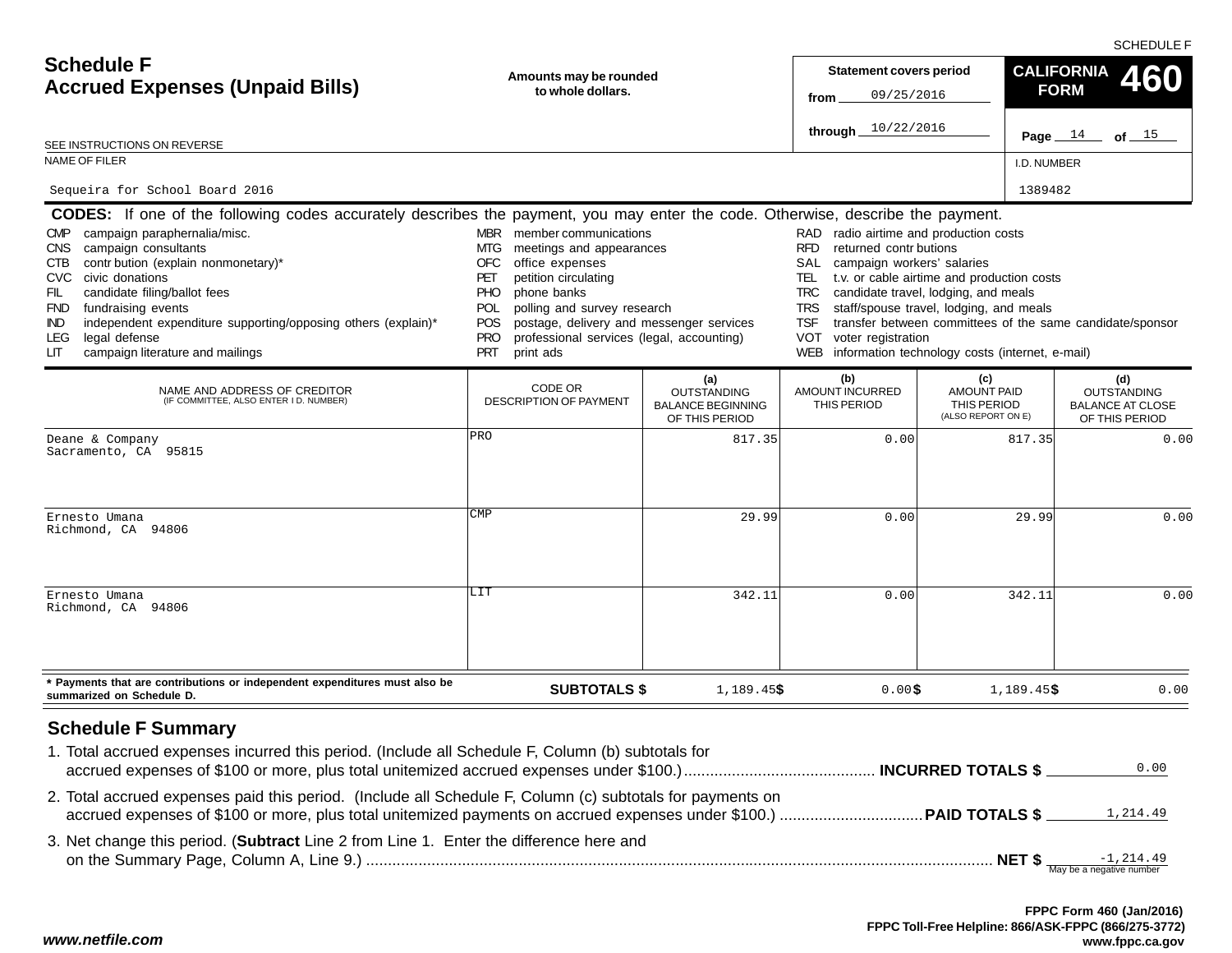SCHEDULE F

| <b>Schedule F</b><br><b>Accrued Expenses (Unpaid Bills)</b>                                                                                                                                                                                                                                                                                                                                                                                                                                                                  | Amounts may be rounded<br>to whole dollars.                                                                                                                                                                                                                                                                                                     | <b>Statement covers period</b><br>09/25/2016<br>from<br>10/22/2016<br>through. |                                                                                                                                                                                   |                                                                                                                                                                                                                                                   | <b>CALIFORNIA</b><br>460<br><b>FORM</b><br>Page $14$<br>of $15$        |
|------------------------------------------------------------------------------------------------------------------------------------------------------------------------------------------------------------------------------------------------------------------------------------------------------------------------------------------------------------------------------------------------------------------------------------------------------------------------------------------------------------------------------|-------------------------------------------------------------------------------------------------------------------------------------------------------------------------------------------------------------------------------------------------------------------------------------------------------------------------------------------------|--------------------------------------------------------------------------------|-----------------------------------------------------------------------------------------------------------------------------------------------------------------------------------|---------------------------------------------------------------------------------------------------------------------------------------------------------------------------------------------------------------------------------------------------|------------------------------------------------------------------------|
| SEE INSTRUCTIONS ON REVERSE<br>NAME OF FILER                                                                                                                                                                                                                                                                                                                                                                                                                                                                                 |                                                                                                                                                                                                                                                                                                                                                 |                                                                                |                                                                                                                                                                                   |                                                                                                                                                                                                                                                   |                                                                        |
|                                                                                                                                                                                                                                                                                                                                                                                                                                                                                                                              |                                                                                                                                                                                                                                                                                                                                                 |                                                                                |                                                                                                                                                                                   | I.D. NUMBER                                                                                                                                                                                                                                       |                                                                        |
| Sequeira for School Board 2016                                                                                                                                                                                                                                                                                                                                                                                                                                                                                               |                                                                                                                                                                                                                                                                                                                                                 |                                                                                |                                                                                                                                                                                   | 1389482                                                                                                                                                                                                                                           |                                                                        |
| <b>CODES:</b> If one of the following codes accurately describes the payment, you may enter the code. Otherwise, describe the payment.<br>campaign paraphernalia/misc.<br><b>CMP</b><br>campaign consultants<br>CNS .<br>contr bution (explain nonmonetary)*<br>CTB.<br>civic donations<br>CVC<br>FIL<br>candidate filing/ballot fees<br><b>FND</b><br>fundraising events<br>independent expenditure supporting/opposing others (explain)*<br><b>IND</b><br>legal defense<br>LEG.<br>campaign literature and mailings<br>LIТ | MBR member communications<br>MTG<br>meetings and appearances<br>office expenses<br>OFC<br>petition circulating<br>PET<br><b>PHO</b><br>phone banks<br>polling and survey research<br><b>POL</b><br>postage, delivery and messenger services<br><b>POS</b><br><b>PRO</b><br>professional services (legal, accounting)<br><b>PRT</b><br>print ads |                                                                                | RAD radio airtime and production costs<br>returned contr butions<br><b>RFD</b><br>campaign workers' salaries<br>SAL<br>TEL<br>TRC.<br>TRS<br><b>TSF</b><br>VOT voter registration | t.v. or cable airtime and production costs<br>candidate travel, lodging, and meals<br>staff/spouse travel, lodging, and meals<br>transfer between committees of the same candidate/sponsor<br>WEB information technology costs (internet, e-mail) |                                                                        |
| NAME AND ADDRESS OF CREDITOR<br>(IF COMMITTEE, ALSO ENTER I D. NUMBER)                                                                                                                                                                                                                                                                                                                                                                                                                                                       | CODE OR<br><b>DESCRIPTION OF PAYMENT</b>                                                                                                                                                                                                                                                                                                        | (a)<br><b>OUTSTANDING</b><br><b>BALANCE BEGINNING</b><br>OF THIS PERIOD        | (b)<br>AMOUNT INCURRED<br>THIS PERIOD                                                                                                                                             | (c)<br><b>AMOUNT PAID</b><br>THIS PERIOD<br>(ALSO REPORT ON E)                                                                                                                                                                                    | (d)<br><b>OUTSTANDING</b><br><b>BALANCE AT CLOSE</b><br>OF THIS PERIOD |
| Deane & Company<br>Sacramento, CA 95815                                                                                                                                                                                                                                                                                                                                                                                                                                                                                      | PRO                                                                                                                                                                                                                                                                                                                                             | 817.35                                                                         | 0.00                                                                                                                                                                              | 817.35                                                                                                                                                                                                                                            | 0.00                                                                   |
| Ernesto Umana<br>Richmond, CA 94806                                                                                                                                                                                                                                                                                                                                                                                                                                                                                          | CMP                                                                                                                                                                                                                                                                                                                                             | 29.99                                                                          | 0.00                                                                                                                                                                              | 29.99                                                                                                                                                                                                                                             | 0.00                                                                   |
| Ernesto Umana<br>Richmond, CA 94806                                                                                                                                                                                                                                                                                                                                                                                                                                                                                          | LIT                                                                                                                                                                                                                                                                                                                                             | 342.11                                                                         | 0.00                                                                                                                                                                              | 342.11                                                                                                                                                                                                                                            | 0.00                                                                   |
| * Payments that are contributions or independent expenditures must also be<br>summarized on Schedule D.                                                                                                                                                                                                                                                                                                                                                                                                                      | <b>SUBTOTALS \$</b>                                                                                                                                                                                                                                                                                                                             | 1,189.45\$                                                                     | $0.00$ \$                                                                                                                                                                         | $1,189.45$ \$                                                                                                                                                                                                                                     | 0.00                                                                   |
| <b>Schedule F Summary</b><br>1. Total accrued expenses incurred this period. (Include all Schedule F, Column (b) subtotals for<br>2. Total accrued expenses paid this period. (Include all Schedule F, Column (c) subtotals for payments on                                                                                                                                                                                                                                                                                  |                                                                                                                                                                                                                                                                                                                                                 |                                                                                |                                                                                                                                                                                   |                                                                                                                                                                                                                                                   | 0.00                                                                   |
|                                                                                                                                                                                                                                                                                                                                                                                                                                                                                                                              |                                                                                                                                                                                                                                                                                                                                                 |                                                                                |                                                                                                                                                                                   |                                                                                                                                                                                                                                                   | 1,214.49                                                               |
| 3. Net change this period. (Subtract Line 2 from Line 1. Enter the difference here and                                                                                                                                                                                                                                                                                                                                                                                                                                       |                                                                                                                                                                                                                                                                                                                                                 |                                                                                |                                                                                                                                                                                   |                                                                                                                                                                                                                                                   |                                                                        |